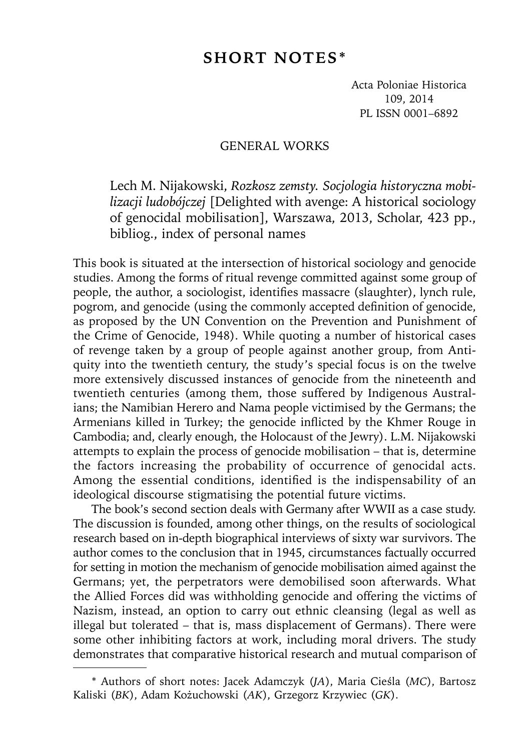# **SHORT NOTES\***

Acta Poloniae Historica 109, 2014 PL ISSN 0001–6892

#### GENERAL WORKS

Lech M. Nijakowski, *Rozkosz zemsty. Socjologia historyczna mobilizacji ludobójczej* [Delighted with avenge: A historical sociology of genocidal mobilisation], Warszawa, 2013, Scholar, 423 pp., bibliog., index of personal names

This book is situated at the intersection of historical sociology and genocide studies. Among the forms of ritual revenge committed against some group of people, the author, a sociologist, identifies massacre (slaughter), lynch rule, pogrom, and genocide (using the commonly accepted definition of genocide, as proposed by the UN Convention on the Prevention and Punishment of the Crime of Genocide, 1948). While quoting a number of historical cases of revenge taken by a group of people against another group, from Antiquity into the twentieth century, the study's special focus is on the twelve more extensively discussed instances of genocide from the nineteenth and twentieth centuries (among them, those suffered by Indigenous Australians; the Namibian Herero and Nama people victimised by the Germans; the Armenians killed in Turkey; the genocide inflicted by the Khmer Rouge in Cambodia; and, clearly enough, the Holocaust of the Jewry). L.M. Nijakowski attempts to explain the process of genocide mobilisation – that is, determine the factors increasing the probability of occurrence of genocidal acts. Among the essential conditions, identified is the indispensability of an ideological discourse stigmatising the potential future victims.

The book's second section deals with Germany after WWII as a case study. The discussion is founded, among other things, on the results of sociological research based on in-depth biographical interviews of sixty war survivors. The author comes to the conclusion that in 1945, circumstances factually occurred for setting in motion the mechanism of genocide mobilisation aimed against the Germans; yet, the perpetrators were demobilised soon afterwards. What the Allied Forces did was withholding genocide and offering the victims of Nazism, instead, an option to carry out ethnic cleansing (legal as well as illegal but tolerated – that is, mass displacement of Germans). There were some other inhibiting factors at work, including moral drivers. The study demonstrates that comparative historical research and mutual comparison of

<sup>\*</sup> Authors of short notes: Jacek Adamczyk (*JA*), Maria Cieśla (*MC*), Bartosz Kaliski (*BK*), Adam Kożuchowski (*AK*), Grzegorz Krzywiec (*GK*).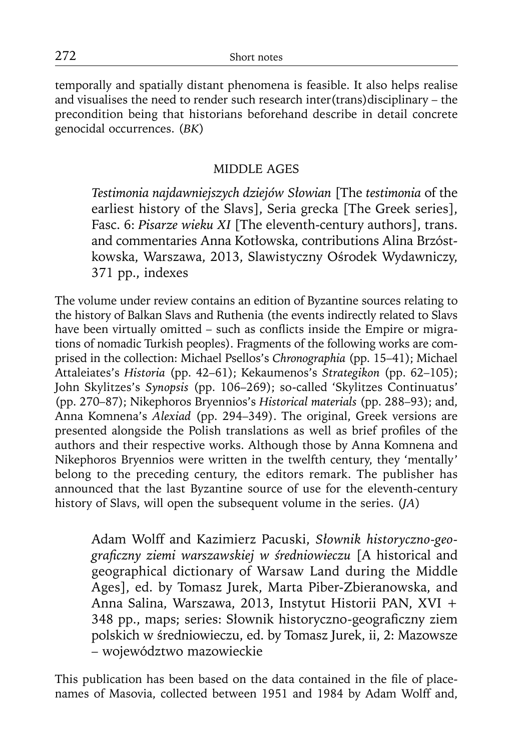temporally and spatially distant phenomena is feasible. It also helps realise and visualises the need to render such research inter(trans)disciplinary – the precondition being that historians beforehand describe in detail concrete genocidal occurrences. (*BK*)

## MIDDLE AGES

*Testimonia najdawniejszych dziejów Słowian* [The *testimonia* of the earliest history of the Slavs], Seria grecka [The Greek series], Fasc. 6: *Pisarze wieku XI* [The eleventh-century authors], trans. and commentaries Anna Kotłowska, contributions Alina Brzóstkowska, Warszawa, 2013, Slawistyczny Ośrodek Wydawniczy, 371 pp., indexes

The volume under review contains an edition of Byzantine sources relating to the history of Balkan Slavs and Ruthenia (the events indirectly related to Slavs have been virtually omitted – such as conflicts inside the Empire or migrations of nomadic Turkish peoples). Fragments of the following works are comprised in the collection: Michael Psellos's *Chronographia* (pp. 15–41); Michael Attaleiates's *Historia* (pp. 42–61); Kekaumenos's *Strategikon* (pp. 62–105); John Skylitzes's *Synopsis* (pp. 106–269); so-called 'Skylitzes Continuatus' (pp. 270–87); Nikephoros Bryennios's *Historical materials* (pp. 288–93); and, Anna Komnena's *Alexiad* (pp. 294–349). The original, Greek versions are presented alongside the Polish translations as well as brief profiles of the authors and their respective works. Although those by Anna Komnena and Nikephoros Bryennios were written in the twelfth century, they 'mentally' belong to the preceding century, the editors remark. The publisher has announced that the last Byzantine source of use for the eleventh-century history of Slavs, will open the subsequent volume in the series. (*JA*)

Adam Wolff and Kazimierz Pacuski, *Słownik historyczno-geografi czny ziemi warszawskiej w średniowieczu* [A historical and geographical dictionary of Warsaw Land during the Middle Ages], ed. by Tomasz Jurek, Marta Piber-Zbieranowska, and Anna Salina, Warszawa, 2013, Instytut Historii PAN, XVI + 348 pp., maps; series: Słownik historyczno-geograficzny ziem polskich w średniowieczu, ed. by Tomasz Jurek, ii, 2: Mazowsze – województwo mazowieckie

This publication has been based on the data contained in the file of placenames of Masovia, collected between 1951 and 1984 by Adam Wolff and,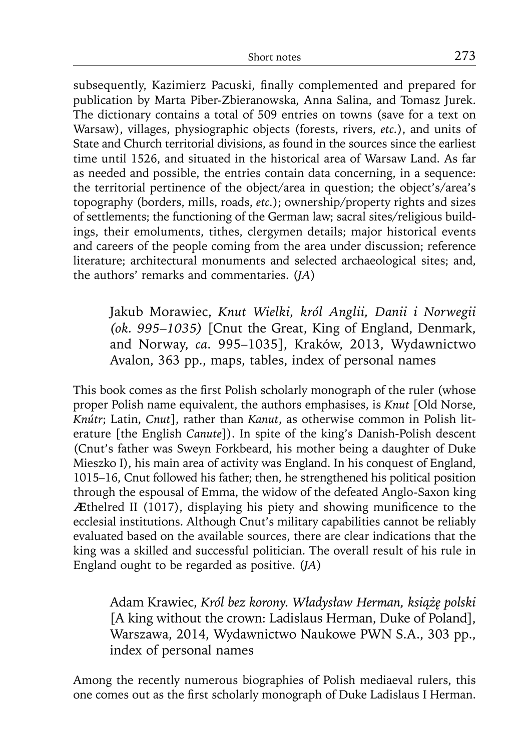subsequently, Kazimierz Pacuski, finally complemented and prepared for publication by Marta Piber-Zbieranowska, Anna Salina, and Tomasz Jurek. The dictionary contains a total of 509 entries on towns (save for a text on Warsaw), villages, physiographic objects (forests, rivers, *etc.*), and units of State and Church territorial divisions, as found in the sources since the earliest time until 1526, and situated in the historical area of Warsaw Land. As far as needed and possible, the entries contain data concerning, in a sequence: the territorial pertinence of the object/area in question; the object's/area's topography (borders, mills, roads, *etc.*); ownership/property rights and sizes of settlements; the functioning of the German law; sacral sites/religious buildings, their emoluments, tithes, clergymen details; major historical events and careers of the people coming from the area under discussion; reference literature; architectural monuments and selected archaeological sites; and, the authors' remarks and commentaries. (*JA*)

Jakub Morawiec, *Knut Wielki, król Anglii, Danii i Norwegii (ok. 995–1035)* [Cnut the Great, King of England, Denmark, and Norway, *ca.* 995–1035], Kraków, 2013, Wydawnictwo Avalon, 363 pp., maps, tables, index of personal names

This book comes as the first Polish scholarly monograph of the ruler (whose proper Polish name equivalent, the authors emphasises, is *Knut* [Old Norse, *Knútr*; Latin, *Cnut*], rather than *Kanut*, as otherwise common in Polish literature [the English *Canute*]). In spite of the king's Danish-Polish descent (Cnut's father was Sweyn Forkbeard, his mother being a daughter of Duke Mieszko I), his main area of activity was England. In his conquest of England, 1015–16, Cnut followed his father; then, he strengthened his political position through the espousal of Emma, the widow of the defeated Anglo-Saxon king Æthelred II (1017), displaying his piety and showing munificence to the ecclesial institutions. Although Cnut's military capabilities cannot be reliably evaluated based on the available sources, there are clear indications that the king was a skilled and successful politician. The overall result of his rule in England ought to be regarded as positive. (*JA*)

Adam Krawiec, *Król bez korony. Władysław Herman, książę polski*  [A king without the crown: Ladislaus Herman, Duke of Poland], Warszawa, 2014, Wydawnictwo Naukowe PWN S.A., 303 pp., index of personal names

Among the recently numerous biographies of Polish mediaeval rulers, this one comes out as the first scholarly monograph of Duke Ladislaus I Herman.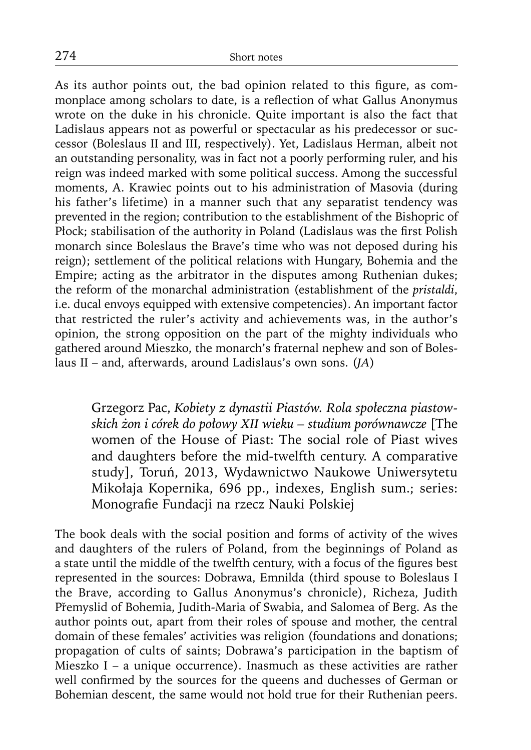As its author points out, the bad opinion related to this figure, as commonplace among scholars to date, is a reflection of what Gallus Anonymus wrote on the duke in his chronicle. Quite important is also the fact that Ladislaus appears not as powerful or spectacular as his predecessor or successor (Boleslaus II and III, respectively). Yet, Ladislaus Herman, albeit not an outstanding personality, was in fact not a poorly performing ruler, and his reign was indeed marked with some political success. Among the successful moments, A. Krawiec points out to his administration of Masovia (during his father's lifetime) in a manner such that any separatist tendency was prevented in the region; contribution to the establishment of the Bishopric of Płock; stabilisation of the authority in Poland (Ladislaus was the first Polish monarch since Boleslaus the Brave's time who was not deposed during his reign); settlement of the political relations with Hungary, Bohemia and the Empire; acting as the arbitrator in the disputes among Ruthenian dukes; the reform of the monarchal administration (establishment of the *pristaldi*, i.e. ducal envoys equipped with extensive competencies). An important factor that restricted the ruler's activity and achievements was, in the author's opinion, the strong opposition on the part of the mighty individuals who gathered around Mieszko, the monarch's fraternal nephew and son of Boleslaus II – and, afterwards, around Ladislaus's own sons. (*JA*)

Grzegorz Pac, *Kobiety z dynastii Piastów. Rola społeczna piastowskich żon i córek do połowy XII wieku – studium porównawcze* [The women of the House of Piast: The social role of Piast wives and daughters before the mid-twelfth century. A comparative study], Toruń, 2013, Wydawnictwo Naukowe Uniwersytetu Mikołaja Kopernika, 696 pp., indexes, English sum.; series: Monografie Fundacji na rzecz Nauki Polskiej

The book deals with the social position and forms of activity of the wives and daughters of the rulers of Poland, from the beginnings of Poland as a state until the middle of the twelfth century, with a focus of the figures best represented in the sources: Dobrawa, Emnilda (third spouse to Boleslaus I the Brave, according to Gallus Anonymus's chronicle), Richeza, Judith Přemyslid of Bohemia, Judith-Maria of Swabia, and Salomea of Berg. As the author points out, apart from their roles of spouse and mother, the central domain of these females' activities was religion (foundations and donations; propagation of cults of saints; Dobrawa's participation in the baptism of Mieszko I – a unique occurrence). Inasmuch as these activities are rather well confirmed by the sources for the queens and duchesses of German or Bohemian descent, the same would not hold true for their Ruthenian peers.

274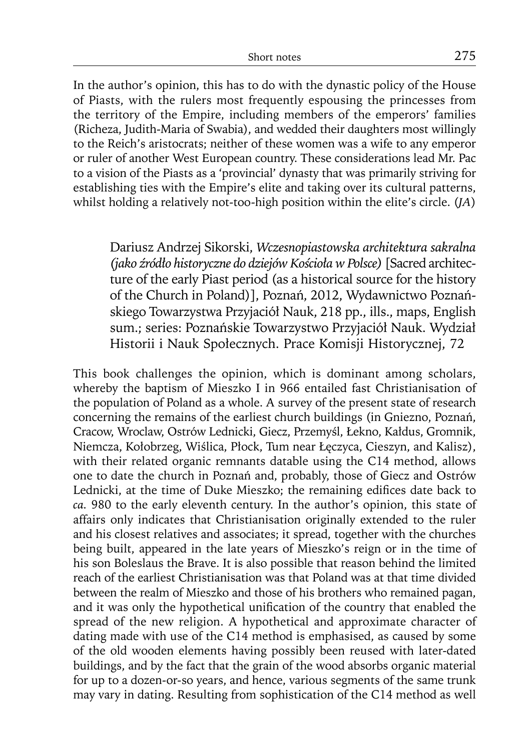In the author's opinion, this has to do with the dynastic policy of the House of Piasts, with the rulers most frequently espousing the princesses from the territory of the Empire, including members of the emperors' families (Richeza, Judith-Maria of Swabia), and wedded their daughters most willingly to the Reich's aristocrats; neither of these women was a wife to any emperor or ruler of another West European country. These considerations lead Mr. Pac to a vision of the Piasts as a 'provincial' dynasty that was primarily striving for establishing ties with the Empire's elite and taking over its cultural patterns, whilst holding a relatively not-too-high position within the elite's circle. (*JA*)

Dariusz Andrzej Sikorski, Wczesnopiastowska architektura sakralna *(jako źródło historyczne do dziejów Kościoła w Polsce)* [Sacred architec ture of the early Piast period (as a historical source for the history of the Church in Poland)], Poznań, 2012, Wydawnictwo Poznańskiego Towarzystwa Przyjaciół Nauk, 218 pp., ills., maps, English sum.; series: Poznańskie Towarzystwo Przyjaciół Nauk. Wydział Historii i Nauk Społecznych. Prace Komisji Historycznej, 72

This book challenges the opinion, which is dominant among scholars, whereby the baptism of Mieszko I in 966 entailed fast Christianisation of the population of Poland as a whole. A survey of the present state of research concerning the remains of the earliest church buildings (in Gniezno, Poznań, Cracow, Wroclaw, Ostrów Lednicki, Giecz, Przemyśl, Łekno, Kałdus, Gromnik, Niemcza, Kołobrzeg, Wiślica, Płock, Tum near Łęczyca, Cieszyn, and Kalisz), with their related organic remnants datable using the C14 method, allows one to date the church in Poznań and, probably, those of Giecz and Ostrów Lednicki, at the time of Duke Mieszko; the remaining edifices date back to *ca.* 980 to the early eleventh century. In the author's opinion, this state of affairs only indicates that Christianisation originally extended to the ruler and his closest relatives and associates; it spread, together with the churches being built, appeared in the late years of Mieszko's reign or in the time of his son Boleslaus the Brave. It is also possible that reason behind the limited reach of the earliest Christianisation was that Poland was at that time divided between the realm of Mieszko and those of his brothers who remained pagan, and it was only the hypothetical unification of the country that enabled the spread of the new religion. A hypothetical and approximate character of dating made with use of the C14 method is emphasised, as caused by some of the old wooden elements having possibly been reused with later-dated buildings, and by the fact that the grain of the wood absorbs organic material for up to a dozen-or-so years, and hence, various segments of the same trunk may vary in dating. Resulting from sophistication of the C14 method as well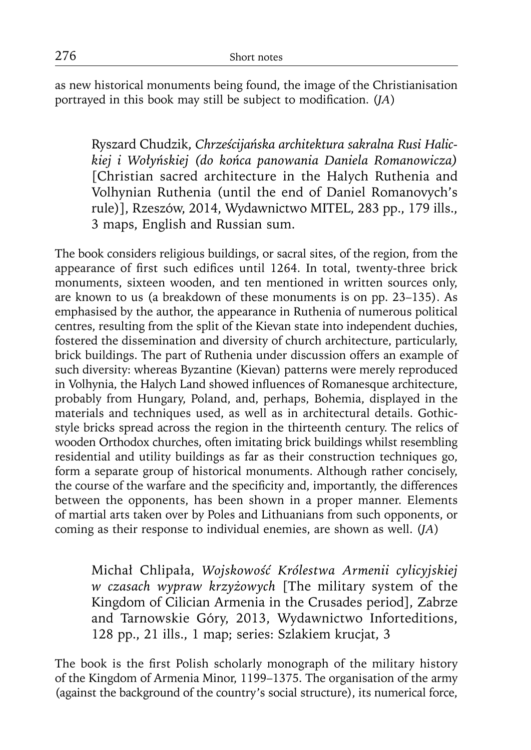as new historical monuments being found, the image of the Christianisation portrayed in this book may still be subject to modification. (*JA*)

Ryszard Chudzik, *Chrześcijańska architektura sakralna Rusi Halic kiej i Wołyńskiej (do końca panowania Daniela Romanowicza)*  [Christian sacred architecture in the Halych Ruthenia and Volhynian Ruthenia (until the end of Daniel Romanovych's rule)], Rzeszów, 2014, Wydawnictwo MITEL, 283 pp., 179 ills., 3 maps, English and Russian sum.

The book considers religious buildings, or sacral sites, of the region, from the appearance of first such edifices until 1264. In total, twenty-three brick monuments, sixteen wooden, and ten mentioned in written sources only, are known to us (a breakdown of these monuments is on pp. 23–135). As emphasised by the author, the appearance in Ruthenia of numerous political centres, resulting from the split of the Kievan state into independent duchies, fostered the dissemination and diversity of church architecture, particularly, brick buildings. The part of Ruthenia under discussion offers an example of such diversity: whereas Byzantine (Kievan) patterns were merely reproduced in Volhynia, the Halych Land showed influences of Romanesque architecture, probably from Hungary, Poland, and, perhaps, Bohemia, displayed in the materials and techniques used, as well as in architectural details. Gothicstyle bricks spread across the region in the thirteenth century. The relics of wooden Orthodox churches, often imitating brick buildings whilst resembling residential and utility buildings as far as their construction techniques go, form a separate group of historical monuments. Although rather concisely, the course of the warfare and the specificity and, importantly, the differences between the opponents, has been shown in a proper manner. Elements of martial arts taken over by Poles and Lithuanians from such opponents, or coming as their response to individual enemies, are shown as well. (*JA*)

Michał Chlipała, *Wojskowość Królestwa Armenii cylicyjskiej w czasach wypraw krzyżowych* [The military system of the Kingdom of Cilician Armenia in the Crusades period], Zabrze and Tarnowskie Góry, 2013, Wydawnictwo Inforteditions, 128 pp., 21 ills., 1 map; series: Szlakiem krucjat, 3

The book is the first Polish scholarly monograph of the military history of the Kingdom of Armenia Minor, 1199–1375. The organisation of the army (against the background of the country's social structure), its numerical force,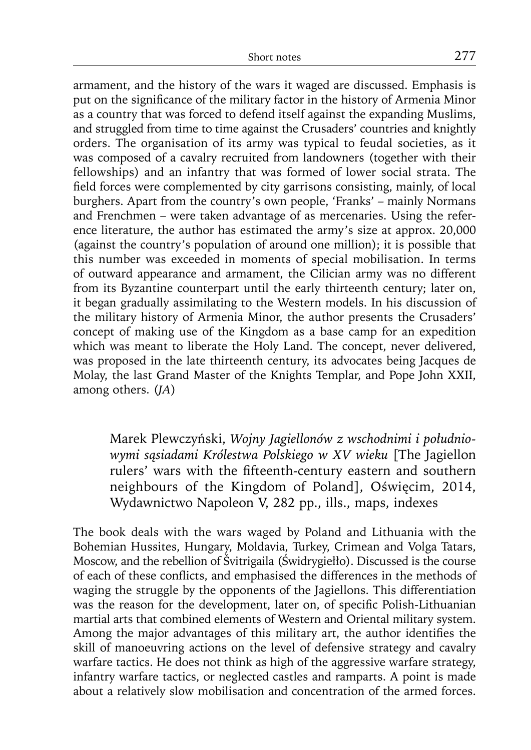armament, and the history of the wars it waged are discussed. Emphasis is put on the significance of the military factor in the history of Armenia Minor as a country that was forced to defend itself against the expanding Muslims, and struggled from time to time against the Crusaders' countries and knightly orders. The organisation of its army was typical to feudal societies, as it was composed of a cavalry recruited from landowners (together with their fellowships) and an infantry that was formed of lower social strata. The field forces were complemented by city garrisons consisting, mainly, of local burghers. Apart from the country's own people, 'Franks' – mainly Normans and Frenchmen – were taken advantage of as mercenaries. Using the reference literature, the author has estimated the army's size at approx. 20,000 (against the country's population of around one million); it is possible that this number was exceeded in moments of special mobilisation. In terms of outward appearance and armament, the Cilician army was no different from its Byzantine counterpart until the early thirteenth century; later on, it began gradually assimilating to the Western models. In his discussion of the military history of Armenia Minor, the author presents the Crusaders' concept of making use of the Kingdom as a base camp for an expedition which was meant to liberate the Holy Land. The concept, never delivered, was proposed in the late thirteenth century, its advocates being Jacques de Molay, the last Grand Master of the Knights Templar, and Pope John XXII, among others. (*JA*)

Marek Plewczyński, *Wojny Jagiellonów z wschodnimi i połud niowymi sąsiadami Królestwa Polskiego w XV wieku* [The Jagiellon rulers' wars with the fifteenth-century eastern and southern neighbours of the Kingdom of Poland], Oświęcim, 2014, Wydawnictwo Napoleon V, 282 pp., ills., maps, indexes

The book deals with the wars waged by Poland and Lithuania with the Bohemian Hussites, Hungary, Moldavia, Turkey, Crimean and Volga Tatars, Moscow, and the rebellion of Švitrigaila (Świdrygiełło). Discussed is the course of each of these conflicts, and emphasised the differences in the methods of waging the struggle by the opponents of the Jagiellons. This differentiation was the reason for the development, later on, of specific Polish-Lithuanian martial arts that combined elements of Western and Oriental military system. Among the major advantages of this military art, the author identifies the skill of manoeuvring actions on the level of defensive strategy and cavalry warfare tactics. He does not think as high of the aggressive warfare strategy, infantry warfare tactics, or neglected castles and ramparts. A point is made about a relatively slow mobilisation and concentration of the armed forces.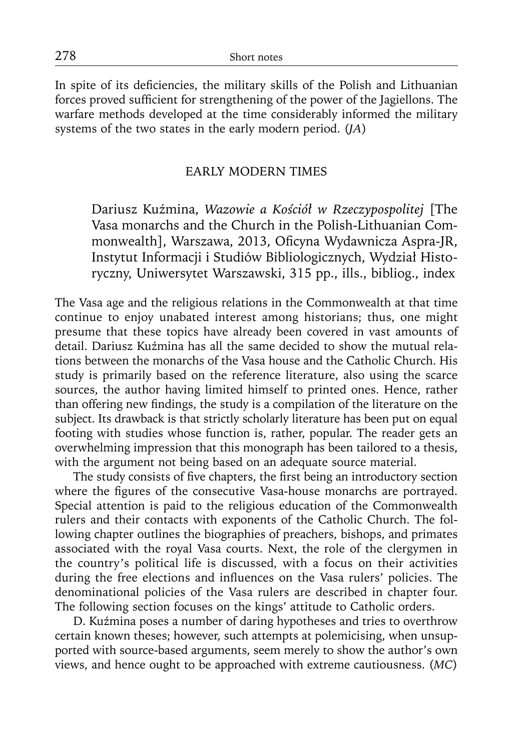In spite of its deficiencies, the military skills of the Polish and Lithuanian forces proved sufficient for strengthening of the power of the Jagiellons. The warfare methods developed at the time considerably informed the military systems of the two states in the early modern period. (*JA*)

#### EARLY MODERN TIMES

Dariusz Kuźmina, *Wazowie a Kościół w Rzeczypospolitej* [The Vasa monarchs and the Church in the Polish-Lithuanian Commonwealth], Warszawa, 2013, Oficyna Wydawnicza Aspra-JR, Instytut Informacji i Studiów Bibliologicznych, Wydział Historyczny, Uniwersytet Warszawski, 315 pp., ills., bibliog., index

The Vasa age and the religious relations in the Commonwealth at that time continue to enjoy unabated interest among historians; thus, one might presume that these topics have already been covered in vast amounts of detail. Dariusz Kuźmina has all the same decided to show the mutual relations between the monarchs of the Vasa house and the Catholic Church. His study is primarily based on the reference literature, also using the scarce sources, the author having limited himself to printed ones. Hence, rather than offering new findings, the study is a compilation of the literature on the subject. Its drawback is that strictly scholarly literature has been put on equal footing with studies whose function is, rather, popular. The reader gets an overwhelming impression that this monograph has been tailored to a thesis, with the argument not being based on an adequate source material.

The study consists of five chapters, the first being an introductory section where the figures of the consecutive Vasa-house monarchs are portrayed. Special attention is paid to the religious education of the Commonwealth rulers and their contacts with exponents of the Catholic Church. The following chapter outlines the biographies of preachers, bishops, and primates associated with the royal Vasa courts. Next, the role of the clergymen in the country's political life is discussed, with a focus on their activities during the free elections and influences on the Vasa rulers' policies. The denominational policies of the Vasa rulers are described in chapter four. The following section focuses on the kings' attitude to Catholic orders.

D. Kuźmina poses a number of daring hypotheses and tries to overthrow certain known theses; however, such attempts at polemicising, when unsupported with source-based arguments, seem merely to show the author's own views, and hence ought to be approached with extreme cautiousness. (*MC*)

278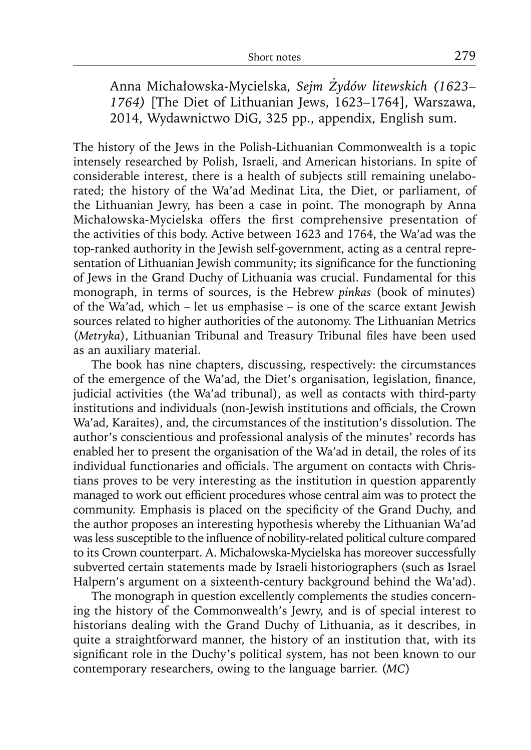Anna Michałowska-Mycielska, *Sejm Żydów litewskich (1623– 1764)* [The Diet of Lithuanian Jews, 1623–1764], Warszawa, 2014, Wydawnictwo DiG, 325 pp., appendix, English sum.

The history of the Jews in the Polish-Lithuanian Commonwealth is a topic intensely researched by Polish, Israeli, and American historians. In spite of considerable interest, there is a health of subjects still remaining unelaborated; the history of the Wa'ad Medinat Lita, the Diet, or parliament, of the Lithuanian Jewry, has been a case in point. The monograph by Anna Michałowska-Mycielska offers the first comprehensive presentation of the activities of this body. Active between 1623 and 1764, the Wa'ad was the top-ranked authority in the Jewish self-government, acting as a central representation of Lithuanian Jewish community; its significance for the functioning of Jews in the Grand Duchy of Lithuania was crucial. Fundamental for this monograph, in terms of sources, is the Hebrew *pinkas* (book of minutes) of the Wa'ad, which – let us emphasise – is one of the scarce extant Jewish sources related to higher authorities of the autonomy. The Lithuanian Metrics (Metryka), Lithuanian Tribunal and Treasury Tribunal files have been used as an auxiliary material.

The book has nine chapters, discussing, respectively: the circumstances of the emergence of the Wa'ad, the Diet's organisation, legislation, finance, judicial activities (the Wa'ad tribunal), as well as contacts with third-party institutions and individuals (non-Jewish institutions and officials, the Crown Wa'ad, Karaites), and, the circumstances of the institution's dissolution. The author's conscientious and professional analysis of the minutes' records has enabled her to present the organisation of the Wa'ad in detail, the roles of its individual functionaries and officials. The argument on contacts with Christians proves to be very interesting as the institution in question apparently managed to work out efficient procedures whose central aim was to protect the community. Emphasis is placed on the specificity of the Grand Duchy, and the author proposes an interesting hypothesis whereby the Lithuanian Wa'ad was less susceptible to the influence of nobility-related political culture compared to its Crown counterpart. A. Michałowska-Mycielska has moreover successfully subverted certain statements made by Israeli historiographers (such as Israel Halpern's argument on a sixteenth-century background behind the Wa'ad).

The monograph in question excellently complements the studies concerning the history of the Commonwealth's Jewry, and is of special interest to historians dealing with the Grand Duchy of Lithuania, as it describes, in quite a straightforward manner, the history of an institution that, with its significant role in the Duchy's political system, has not been known to our contemporary researchers, owing to the language barrier. (*MC*)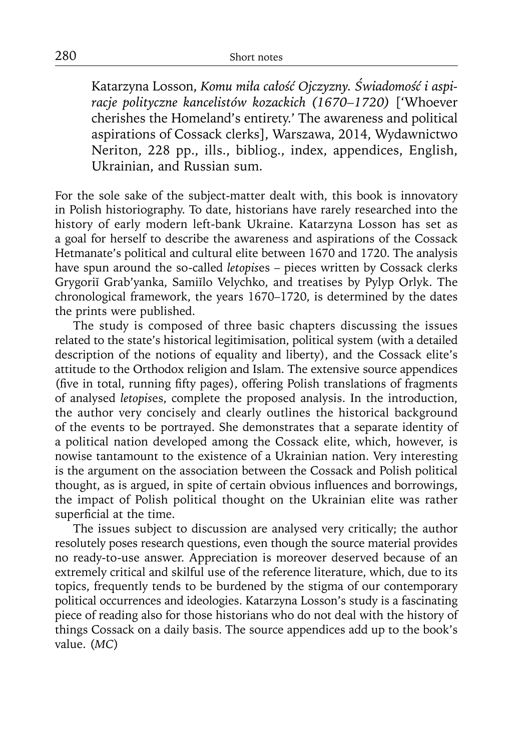Katarzyna Losson, *Komu miła całość Ojczyzny. Świadomość i aspiracje polityczne kancelistów kozackich (1670–1720)* ['Whoever cherishes the Homeland's entirety.' The awareness and political aspirations of Cossack clerks], Warszawa, 2014, Wydawnictwo Neriton, 228 pp., ills., bibliog., index, appendices, English, Ukrainian, and Russian sum.

For the sole sake of the subject-matter dealt with, this book is innovatory in Polish historiography. To date, historians have rarely researched into the history of early modern left-bank Ukraine. Katarzyna Losson has set as a goal for herself to describe the awareness and aspirations of the Cossack Hetmanate's political and cultural elite between 1670 and 1720. The analysis have spun around the so-called *letopis*es – pieces written by Cossack clerks Grygoriĭ Grab'yanka, Samiĭlo Velychko, and treatises by Pylyp Orlyk. The chronological framework, the years 1670–1720, is determined by the dates the prints were published.

The study is composed of three basic chapters discussing the issues related to the state's historical legitimisation, political system (with a detailed description of the notions of equality and liberty), and the Cossack elite's attitude to the Orthodox religion and Islam. The extensive source appendices (five in total, running fifty pages), offering Polish translations of fragments of analysed *letopis*es, complete the proposed analysis. In the introduction, the author very concisely and clearly outlines the historical background of the events to be portrayed. She demonstrates that a separate identity of a political nation developed among the Cossack elite, which, however, is nowise tantamount to the existence of a Ukrainian nation. Very interesting is the argument on the association between the Cossack and Polish political thought, as is argued, in spite of certain obvious influences and borrowings, the impact of Polish political thought on the Ukrainian elite was rather superficial at the time.

The issues subject to discussion are analysed very critically; the author resolutely poses research questions, even though the source material provides no ready-to-use answer. Appreciation is moreover deserved because of an extremely critical and skilful use of the reference literature, which, due to its topics, frequently tends to be burdened by the stigma of our contemporary political occurrences and ideologies. Katarzyna Losson's study is a fascinating piece of reading also for those historians who do not deal with the history of things Cossack on a daily basis. The source appendices add up to the book's value. (*MC*)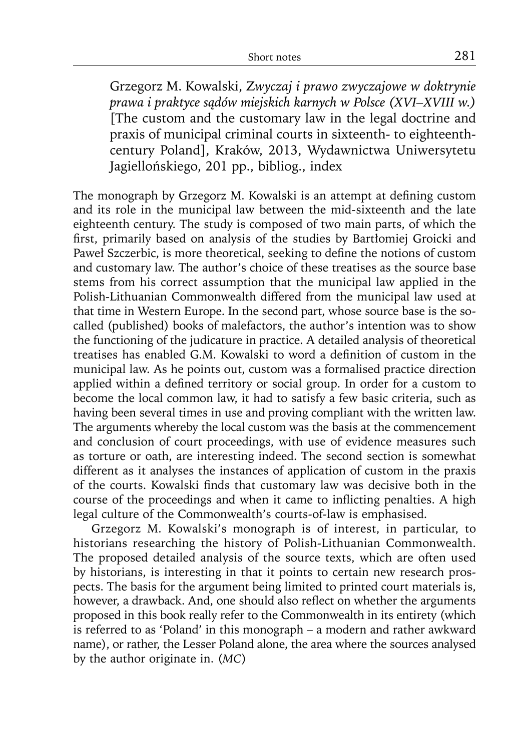Grzegorz M. Kowalski, Z*wyczaj i prawo zwyczajowe w doktrynie prawa i praktyce sądów miejskich karnych w Polsce (XVI–XVIII w.)*  [The custom and the customary law in the legal doctrine and praxis of municipal criminal courts in sixteenth- to eighteenthcentury Poland], Kraków, 2013, Wydawnictwa Uniwersytetu Jagiellońskiego, 201 pp., bibliog., index

The monograph by Grzegorz M. Kowalski is an attempt at defining custom and its role in the municipal law between the mid-sixteenth and the late eighteenth century. The study is composed of two main parts, of which the first, primarily based on analysis of the studies by Bartłomiej Groicki and Paweł Szczerbic, is more theoretical, seeking to define the notions of custom and customary law. The author's choice of these treatises as the source base stems from his correct assumption that the municipal law applied in the Polish-Lithuanian Commonwealth differed from the municipal law used at that time in Western Europe. In the second part, whose source base is the socalled (published) books of malefactors, the author's intention was to show the functioning of the judicature in practice. A detailed analysis of theoretical treatises has enabled G.M. Kowalski to word a definition of custom in the municipal law. As he points out, custom was a formalised practice direction applied within a defined territory or social group. In order for a custom to become the local common law, it had to satisfy a few basic criteria, such as having been several times in use and proving compliant with the written law. The arguments whereby the local custom was the basis at the commencement and conclusion of court proceedings, with use of evidence measures such as torture or oath, are interesting indeed. The second section is somewhat different as it analyses the instances of application of custom in the praxis of the courts. Kowalski finds that customary law was decisive both in the course of the proceedings and when it came to inflicting penalties. A high legal culture of the Commonwealth's courts-of-law is emphasised.

Grzegorz M. Kowalski's monograph is of interest, in particular, to historians researching the history of Polish-Lithuanian Commonwealth. The proposed detailed analysis of the source texts, which are often used by historians, is interesting in that it points to certain new research prospects. The basis for the argument being limited to printed court materials is, however, a drawback. And, one should also reflect on whether the arguments proposed in this book really refer to the Commonwealth in its entirety (which is referred to as 'Poland' in this monograph – a modern and rather awkward name), or rather, the Lesser Poland alone, the area where the sources analysed by the author originate in. (*MC*)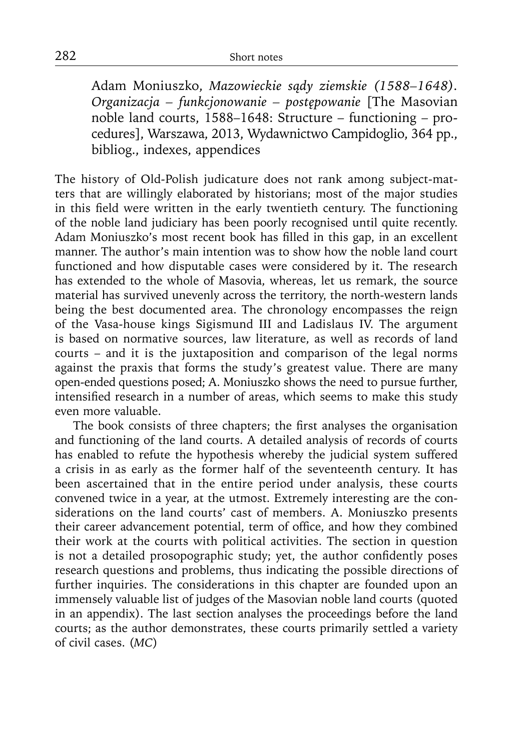Adam Moniuszko, *Mazowieckie sądy ziemskie (1588–1648). Organizacja – funkcjonowanie – postępowanie* [The Masovian noble land courts, 1588–1648: Structure – functioning – procedures], Warszawa, 2013, Wydawnictwo Campidoglio, 364 pp., bibliog., indexes, appendices

The history of Old-Polish judicature does not rank among subject-matters that are willingly elaborated by historians; most of the major studies in this field were written in the early twentieth century. The functioning of the noble land judiciary has been poorly recognised until quite recently. Adam Moniuszko's most recent book has filled in this gap, in an excellent manner. The author's main intention was to show how the noble land court functioned and how disputable cases were considered by it. The research has extended to the whole of Masovia, whereas, let us remark, the source material has survived unevenly across the territory, the north-western lands being the best documented area. The chronology encompasses the reign of the Vasa-house kings Sigismund III and Ladislaus IV. The argument is based on normative sources, law literature, as well as records of land courts – and it is the juxtaposition and comparison of the legal norms against the praxis that forms the study's greatest value. There are many open-ended questions posed; A. Moniuszko shows the need to pursue further, intensified research in a number of areas, which seems to make this study even more valuable.

The book consists of three chapters; the first analyses the organisation and functioning of the land courts. A detailed analysis of records of courts has enabled to refute the hypothesis whereby the judicial system suffered a crisis in as early as the former half of the seventeenth century. It has been ascertained that in the entire period under analysis, these courts convened twice in a year, at the utmost. Extremely interesting are the considerations on the land courts' cast of members. A. Moniuszko presents their career advancement potential, term of office, and how they combined their work at the courts with political activities. The section in question is not a detailed prosopographic study; yet, the author confidently poses research questions and problems, thus indicating the possible directions of further inquiries. The considerations in this chapter are founded upon an immensely valuable list of judges of the Masovian noble land courts (quoted in an appendix). The last section analyses the proceedings before the land courts; as the author demonstrates, these courts primarily settled a variety of civil cases. (*MC*)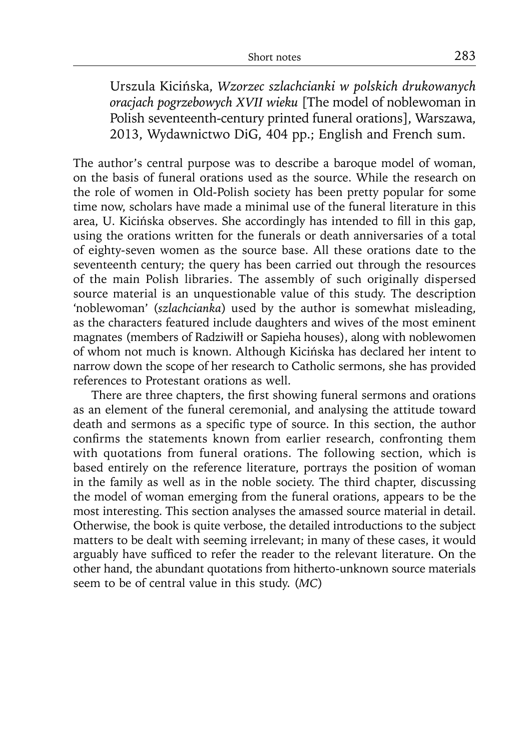Urszula Kicińska, *Wzorzec szlachcianki w polskich drukowanych oracjach pogrzebowych XVII wieku* [The model of noblewoman in Polish seventeenth-century printed funeral orations], Warszawa, 2013, Wydawnictwo DiG, 404 pp.; English and French sum.

The author's central purpose was to describe a baroque model of woman, on the basis of funeral orations used as the source. While the research on the role of women in Old-Polish society has been pretty popular for some time now, scholars have made a minimal use of the funeral literature in this area, U. Kicińska observes. She accordingly has intended to fill in this gap, using the orations written for the funerals or death anniversaries of a total of eighty-seven women as the source base. All these orations date to the seventeenth century; the query has been carried out through the resources of the main Polish libraries. The assembly of such originally dispersed source material is an unquestionable value of this study. The description 'noblewoman' (*szlachcianka*) used by the author is somewhat misleading, as the characters featured include daughters and wives of the most eminent magnates (members of Radziwiłł or Sapieha houses), along with noblewomen of whom not much is known. Although Kicińska has declared her intent to narrow down the scope of her research to Catholic sermons, she has provided references to Protestant orations as well.

There are three chapters, the first showing funeral sermons and orations as an element of the funeral ceremonial, and analysing the attitude toward death and sermons as a specific type of source. In this section, the author confirms the statements known from earlier research, confronting them with quotations from funeral orations. The following section, which is based entirely on the reference literature, portrays the position of woman in the family as well as in the noble society. The third chapter, discussing the model of woman emerging from the funeral orations, appears to be the most interesting. This section analyses the amassed source material in detail. Otherwise, the book is quite verbose, the detailed introductions to the subject matters to be dealt with seeming irrelevant; in many of these cases, it would arguably have sufficed to refer the reader to the relevant literature. On the other hand, the abundant quotations from hitherto-unknown source materials seem to be of central value in this study. (*MC*)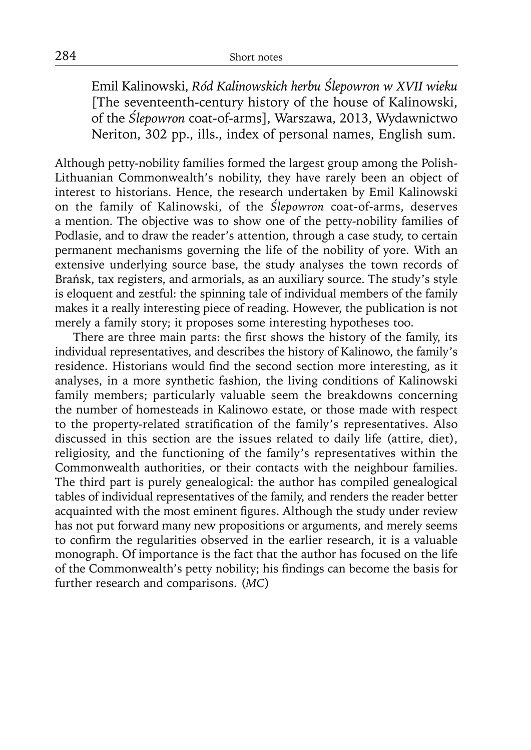Emil Kalinowski, *Ród Kalinowskich herbu Ślepowron w XVII wieku*  [The seventeenth-century history of the house of Kalinowski, of the *Ślepowron* coat-of-arms], Warszawa, 2013, Wydawnictwo Neriton, 302 pp., ills., index of personal names, English sum.

Although petty-nobility families formed the largest group among the Polish-Lithuanian Commonwealth's nobility, they have rarely been an object of interest to historians. Hence, the research undertaken by Emil Kalinowski on the family of Kalinowski, of the *Ślepowron* coat-of-arms, deserves a mention. The objective was to show one of the petty-nobility families of Podlasie, and to draw the reader's attention, through a case study, to certain permanent mechanisms governing the life of the nobility of yore. With an extensive underlying source base, the study analyses the town records of Brańsk, tax registers, and armorials, as an auxiliary source. The study's style is eloquent and zestful: the spinning tale of individual members of the family makes it a really interesting piece of reading. However, the publication is not merely a family story; it proposes some interesting hypotheses too.

There are three main parts: the first shows the history of the family, its individual representatives, and describes the history of Kalinowo, the family's residence. Historians would find the second section more interesting, as it analyses, in a more synthetic fashion, the living conditions of Kalinowski family members; particularly valuable seem the breakdowns concerning the number of homesteads in Kalinowo estate, or those made with respect to the property-related stratification of the family's representatives. Also discussed in this section are the issues related to daily life (attire, diet), religiosity, and the functioning of the family's representatives within the Commonwealth authorities, or their contacts with the neighbour families. The third part is purely genealogical: the author has compiled genealogical tables of individual representatives of the family, and renders the reader better acquainted with the most eminent figures. Although the study under review has not put forward many new propositions or arguments, and merely seems to confirm the regularities observed in the earlier research, it is a valuable monograph. Of importance is the fact that the author has focused on the life of the Commonwealth's petty nobility; his findings can become the basis for further research and comparisons. (*MC*)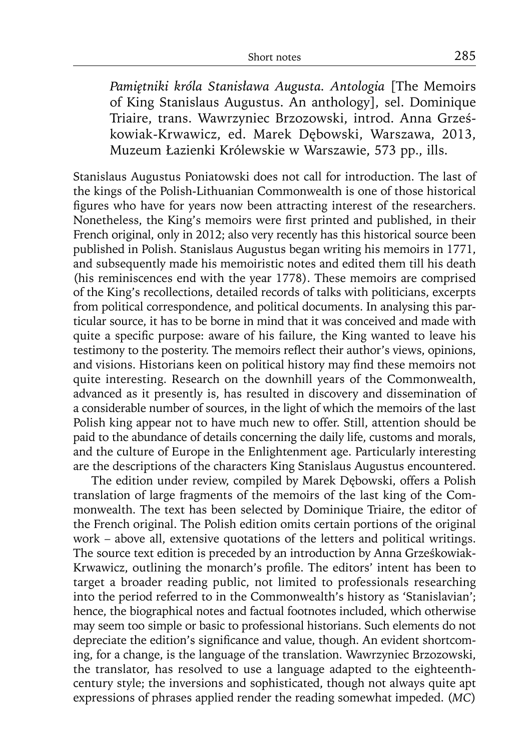*Pamiętniki króla Stanisława Augusta. Antologia* [The Memoirs of King Stanislaus Augustus. An anthology], sel. Dominique Triaire, trans. Wawrzyniec Brzozowski, introd. Anna Grześko wiak-Krwawicz, ed. Marek Dębowski, Warszawa, 2013, Muzeum Łazienki Królewskie w Warszawie, 573 pp., ills.

Stanislaus Augustus Poniatowski does not call for introduction. The last of the kings of the Polish-Lithuanian Commonwealth is one of those historical figures who have for years now been attracting interest of the researchers. Nonetheless, the King's memoirs were first printed and published, in their French original, only in 2012; also very recently has this historical source been published in Polish. Stanislaus Augustus began writing his memoirs in 1771, and subsequently made his memoiristic notes and edited them till his death (his reminiscences end with the year 1778). These memoirs are comprised of the King's recollections, detailed records of talks with politicians, excerpts from political correspondence, and political documents. In analysing this particular source, it has to be borne in mind that it was conceived and made with quite a specific purpose: aware of his failure, the King wanted to leave his testimony to the posterity. The memoirs reflect their author's views, opinions, and visions. Historians keen on political history may find these memoirs not quite interesting. Research on the downhill years of the Commonwealth, advanced as it presently is, has resulted in discovery and dissemination of a considerable number of sources, in the light of which the memoirs of the last Polish king appear not to have much new to offer. Still, attention should be paid to the abundance of details concerning the daily life, customs and morals, and the culture of Europe in the Enlightenment age. Particularly interesting are the descriptions of the characters King Stanislaus Augustus encountered.

The edition under review, compiled by Marek Dębowski, offers a Polish translation of large fragments of the memoirs of the last king of the Commonwealth. The text has been selected by Dominique Triaire, the editor of the French original. The Polish edition omits certain portions of the original work – above all, extensive quotations of the letters and political writings. The source text edition is preceded by an introduction by Anna Grześkowiak-Krwawicz, outlining the monarch's profile. The editors' intent has been to target a broader reading public, not limited to professionals researching into the period referred to in the Commonwealth's history as 'Stanislavian'; hence, the biographical notes and factual footnotes included, which otherwise may seem too simple or basic to professional historians. Such elements do not depreciate the edition's significance and value, though. An evident shortcoming, for a change, is the language of the translation. Wawrzyniec Brzozowski, the translator, has resolved to use a language adapted to the eighteenthcentury style; the inversions and sophisticated, though not always quite apt expressions of phrases applied render the reading somewhat impeded. (*MC*)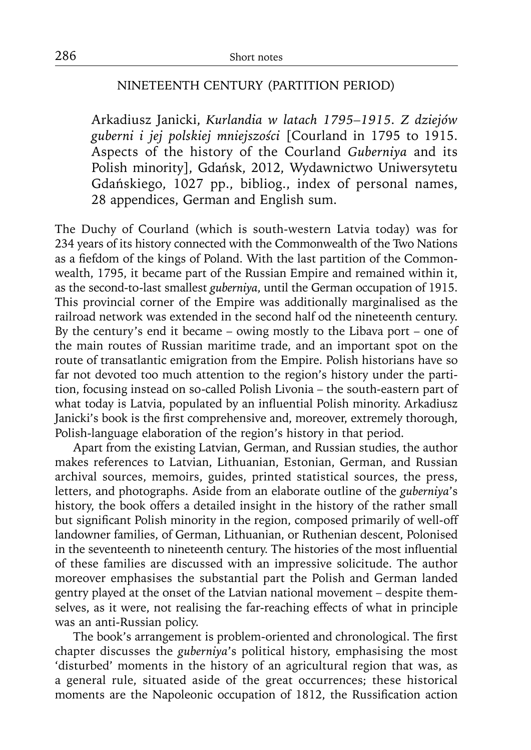### NINETEENTH CENTURY (PARTITION PERIOD)

Arkadiusz Janicki, *Kurlandia w latach 1795–1915. Z dziejów guberni i jej polskiej mniejszości* [Courland in 1795 to 1915. Aspects of the history of the Courland *Guberniya* and its Polish minority], Gdańsk, 2012, Wydawnictwo Uniwersytetu Gdańskiego, 1027 pp., bibliog., index of personal names, 28 appendices, German and English sum.

The Duchy of Courland (which is south-western Latvia today) was for 234 years of its history connected with the Commonwealth of the Two Nations as a fiefdom of the kings of Poland. With the last partition of the Commonwealth, 1795, it became part of the Russian Empire and remained within it, as the second-to-last smallest *guberniya*, until the German occupation of 1915. This provincial corner of the Empire was additionally marginalised as the railroad network was extended in the second half od the nineteenth century. By the century's end it became – owing mostly to the Libava port – one of the main routes of Russian maritime trade, and an important spot on the route of transatlantic emigration from the Empire. Polish historians have so far not devoted too much attention to the region's history under the partition, focusing instead on so-called Polish Livonia – the south-eastern part of what today is Latvia, populated by an influential Polish minority. Arkadiusz Janicki's book is the first comprehensive and, moreover, extremely thorough, Polish-language elaboration of the region's history in that period.

Apart from the existing Latvian, German, and Russian studies, the author makes references to Latvian, Lithuanian, Estonian, German, and Russian archival sources, memoirs, guides, printed statistical sources, the press, letters, and photographs. Aside from an elaborate outline of the *guberniya*'s history, the book offers a detailed insight in the history of the rather small but significant Polish minority in the region, composed primarily of well-off landowner families, of German, Lithuanian, or Ruthenian descent, Polonised in the seventeenth to nineteenth century. The histories of the most influential of these families are discussed with an impressive solicitude. The author moreover emphasises the substantial part the Polish and German landed gentry played at the onset of the Latvian national movement – despite themselves, as it were, not realising the far-reaching effects of what in principle was an anti-Russian policy.

The book's arrangement is problem-oriented and chronological. The first chapter discusses the *guberniya*'s political history, emphasising the most 'disturbed' moments in the history of an agricultural region that was, as a general rule, situated aside of the great occurrences; these historical moments are the Napoleonic occupation of 1812, the Russification action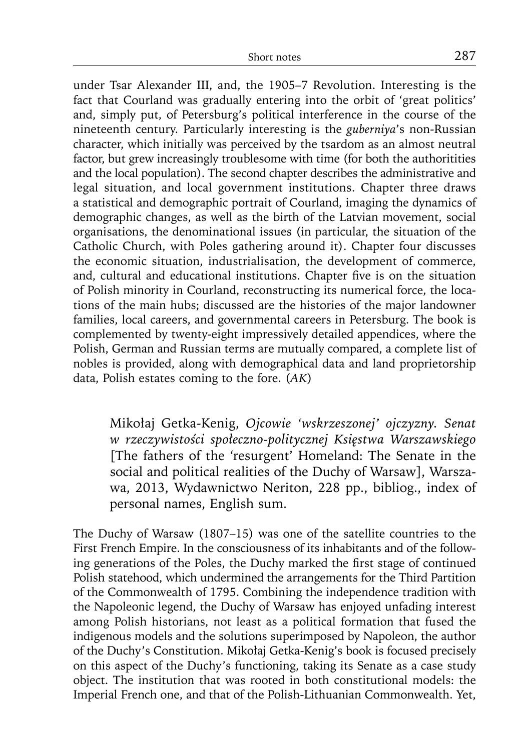under Tsar Alexander III, and, the 1905–7 Revolution. Interesting is the fact that Courland was gradually entering into the orbit of 'great politics' and, simply put, of Petersburg's political interference in the course of the nineteenth century. Particularly interesting is the *guberniya*'s non-Russian character, which initially was perceived by the tsardom as an almost neutral factor, but grew increasingly troublesome with time (for both the authoritities and the local population). The second chapter describes the administrative and legal situation, and local government institutions. Chapter three draws a statistical and demographic portrait of Courland, imaging the dynamics of demographic changes, as well as the birth of the Latvian movement, social organisations, the denominational issues (in particular, the situation of the Catholic Church, with Poles gathering around it). Chapter four discusses the economic situation, industrialisation, the development of commerce, and, cultural and educational institutions. Chapter five is on the situation of Polish minority in Courland, reconstructing its numerical force, the locations of the main hubs; discussed are the histories of the major landowner families, local careers, and governmental careers in Petersburg. The book is complemented by twenty-eight impressively detailed appendices, where the Polish, German and Russian terms are mutually compared, a complete list of nobles is provided, along with demographical data and land proprietorship data, Polish estates coming to the fore. (*AK*)

Mikołaj Getka-Kenig, *Ojcowie 'wskrzeszonej' ojczyzny. Senat w rzeczywistości społeczno-politycznej Księstwa Warszawskiego*  [The fathers of the 'resurgent' Homeland: The Senate in the social and political realities of the Duchy of Warsaw], Warszawa, 2013, Wydawnictwo Neriton, 228 pp., bibliog., index of personal names, English sum.

The Duchy of Warsaw (1807–15) was one of the satellite countries to the First French Empire. In the consciousness of its inhabitants and of the following generations of the Poles, the Duchy marked the first stage of continued Polish statehood, which undermined the arrangements for the Third Partition of the Commonwealth of 1795. Combining the independence tradition with the Napoleonic legend, the Duchy of Warsaw has enjoyed unfading interest among Polish historians, not least as a political formation that fused the indigenous models and the solutions superimposed by Napoleon, the author of the Duchy's Constitution. Mikołaj Getka-Kenig's book is focused precisely on this aspect of the Duchy's functioning, taking its Senate as a case study object. The institution that was rooted in both constitutional models: the Imperial French one, and that of the Polish-Lithuanian Commonwealth. Yet,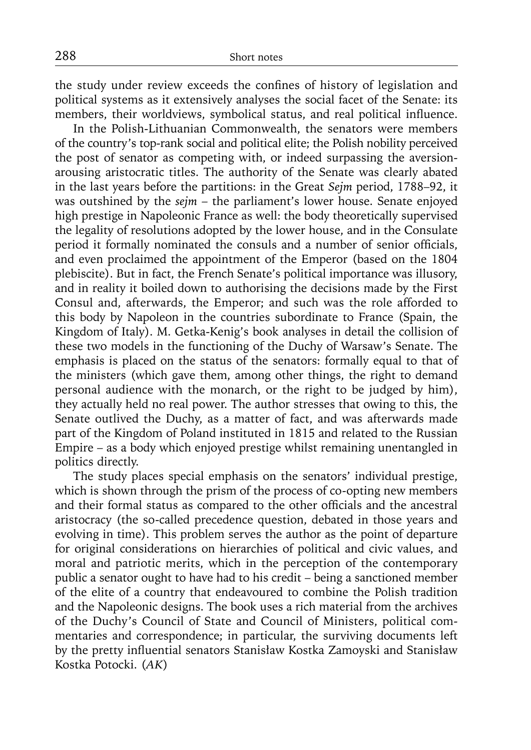the study under review exceeds the confines of history of legislation and political systems as it extensively analyses the social facet of the Senate: its members, their worldviews, symbolical status, and real political influence.

In the Polish-Lithuanian Commonwealth, the senators were members of the country's top-rank social and political elite; the Polish nobility perceived the post of senator as competing with, or indeed surpassing the aversionarousing aristocratic titles. The authority of the Senate was clearly abated in the last years before the partitions: in the Great *Sejm* period, 1788–92, it was outshined by the *sejm* – the parliament's lower house. Senate enjoyed high prestige in Napoleonic France as well: the body theoretically supervised the legality of resolutions adopted by the lower house, and in the Consulate period it formally nominated the consuls and a number of senior officials, and even proclaimed the appointment of the Emperor (based on the 1804 plebiscite). But in fact, the French Senate's political importance was illusory, and in reality it boiled down to authorising the decisions made by the First Consul and, afterwards, the Emperor; and such was the role afforded to this body by Napoleon in the countries subordinate to France (Spain, the Kingdom of Italy). M. Getka-Kenig's book analyses in detail the collision of these two models in the functioning of the Duchy of Warsaw's Senate. The emphasis is placed on the status of the senators: formally equal to that of the ministers (which gave them, among other things, the right to demand personal audience with the monarch, or the right to be judged by him), they actually held no real power. The author stresses that owing to this, the Senate outlived the Duchy, as a matter of fact, and was afterwards made part of the Kingdom of Poland instituted in 1815 and related to the Russian Empire – as a body which enjoyed prestige whilst remaining unentangled in politics directly.

The study places special emphasis on the senators' individual prestige, which is shown through the prism of the process of co-opting new members and their formal status as compared to the other officials and the ancestral aristocracy (the so-called precedence question, debated in those years and evolving in time). This problem serves the author as the point of departure for original considerations on hierarchies of political and civic values, and moral and patriotic merits, which in the perception of the contemporary public a senator ought to have had to his credit – being a sanctioned member of the elite of a country that endeavoured to combine the Polish tradition and the Napoleonic designs. The book uses a rich material from the archives of the Duchy's Council of State and Council of Ministers, political commentaries and correspondence; in particular, the surviving documents left by the pretty influential senators Stanisław Kostka Zamoyski and Stanisław Kostka Potocki. (*AK*)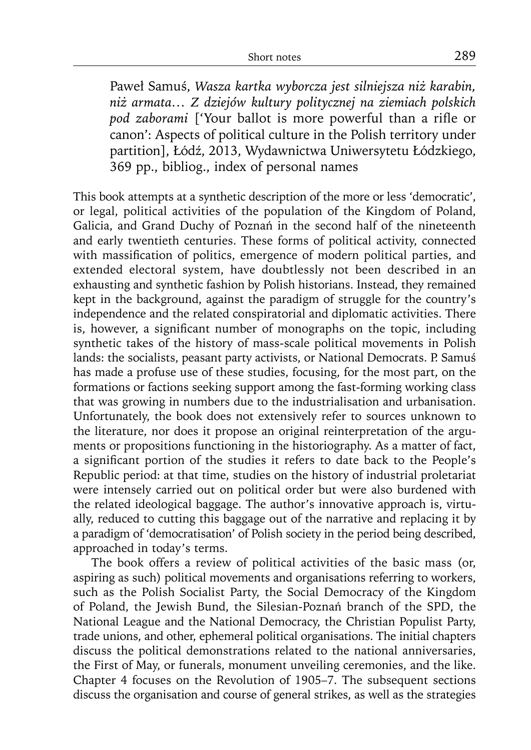Paweł Samuś, *Wasza kartka wyborcza jest silniejsza niż karabin, niż armata… Z dziejów kultury politycznej na ziemiach polskich*  pod zaborami ['Your ballot is more powerful than a rifle or canon': Aspects of political culture in the Polish territory under partition], Łódź, 2013, Wydawnictwa Uniwersytetu Łódzkiego, 369 pp., bibliog., index of personal names

This book attempts at a synthetic description of the more or less 'democratic', or legal, political activities of the population of the Kingdom of Poland, Galicia, and Grand Duchy of Poznań in the second half of the nineteenth and early twentieth centuries. These forms of political activity, connected with massification of politics, emergence of modern political parties, and extended electoral system, have doubtlessly not been described in an exhausting and synthetic fashion by Polish historians. Instead, they remained kept in the background, against the paradigm of struggle for the country's independence and the related conspiratorial and diplomatic activities. There is, however, a significant number of monographs on the topic, including synthetic takes of the history of mass-scale political movements in Polish lands: the socialists, peasant party activists, or National Democrats. P. Samuś has made a profuse use of these studies, focusing, for the most part, on the formations or factions seeking support among the fast-forming working class that was growing in numbers due to the industrialisation and urbanisation. Unfortunately, the book does not extensively refer to sources unknown to the literature, nor does it propose an original reinterpretation of the arguments or propositions functioning in the historiography. As a matter of fact, a significant portion of the studies it refers to date back to the People's Republic period: at that time, studies on the history of industrial proletariat were intensely carried out on political order but were also burdened with the related ideological baggage. The author's innovative approach is, virtually, reduced to cutting this baggage out of the narrative and replacing it by a paradigm of 'democratisation' of Polish society in the period being described, approached in today's terms.

The book offers a review of political activities of the basic mass (or, aspiring as such) political movements and organisations referring to workers, such as the Polish Socialist Party, the Social Democracy of the Kingdom of Poland, the Jewish Bund, the Silesian-Poznań branch of the SPD, the National League and the National Democracy, the Christian Populist Party, trade unions, and other, ephemeral political organisations. The initial chapters discuss the political demonstrations related to the national anniversaries, the First of May, or funerals, monument unveiling ceremonies, and the like. Chapter 4 focuses on the Revolution of 1905–7. The subsequent sections discuss the organisation and course of general strikes, as well as the strategies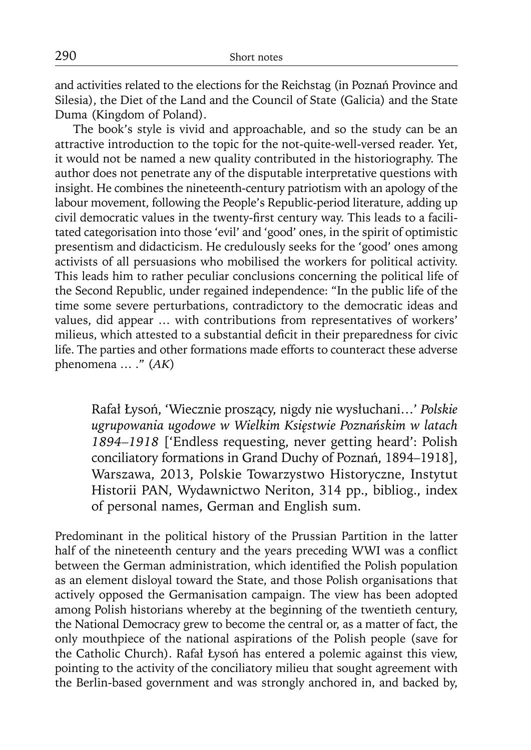and activities related to the elections for the Reichstag (in Poznań Province and Silesia), the Diet of the Land and the Council of State (Galicia) and the State Duma (Kingdom of Poland).

The book's style is vivid and approachable, and so the study can be an attractive introduction to the topic for the not-quite-well-versed reader. Yet, it would not be named a new quality contributed in the historiography. The author does not penetrate any of the disputable interpretative questions with insight. He combines the nineteenth-century patriotism with an apology of the labour movement, following the People's Republic-period literature, adding up civil democratic values in the twenty-first century way. This leads to a facilitated categorisation into those 'evil' and 'good' ones, in the spirit of optimistic presentism and didacticism. He credulously seeks for the 'good' ones among activists of all persuasions who mobilised the workers for political activity. This leads him to rather peculiar conclusions concerning the political life of the Second Republic, under regained independence: "In the public life of the time some severe perturbations, contradictory to the democratic ideas and values, did appear … with contributions from representatives of workers' milieus, which attested to a substantial deficit in their preparedness for civic life. The parties and other formations made efforts to counteract these adverse phenomena … ." (*AK*)

Rafał Łysoń, 'Wiecznie proszący, nigdy nie wysłuchani…' *Polskie ugrupowania ugodowe w Wielkim Księstwie Poznańskim w latach 1894–1918* ['Endless requesting, never getting heard': Polish conciliatory formations in Grand Duchy of Poznań, 1894–1918], Warszawa, 2013, Polskie Towarzystwo Historyczne, Instytut Historii PAN, Wydawnictwo Neriton, 314 pp., bibliog., index of personal names, German and English sum.

Predominant in the political history of the Prussian Partition in the latter half of the nineteenth century and the years preceding WWI was a conflict between the German administration, which identified the Polish population as an element disloyal toward the State, and those Polish organisations that actively opposed the Germanisation campaign. The view has been adopted among Polish historians whereby at the beginning of the twentieth century, the National Democracy grew to become the central or, as a matter of fact, the only mouthpiece of the national aspirations of the Polish people (save for the Catholic Church). Rafał Łysoń has entered a polemic against this view, pointing to the activity of the conciliatory milieu that sought agreement with the Berlin-based government and was strongly anchored in, and backed by,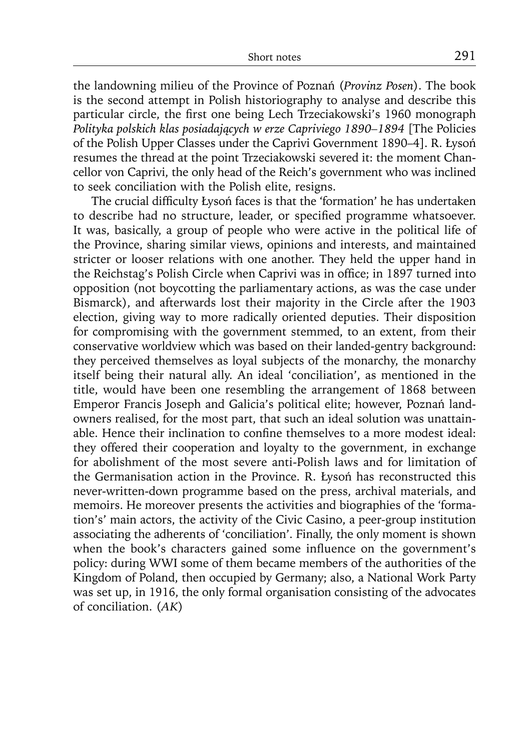the landowning milieu of the Province of Poznań (*Provinz Posen*). The book is the second attempt in Polish historiography to analyse and describe this particular circle, the first one being Lech Trzeciakowski's 1960 monograph *Polityka polskich klas posiadających w erze Capriviego 1890–1894* [The Policies of the Polish Upper Classes under the Caprivi Government 1890–4]. R. Łysoń resumes the thread at the point Trzeciakowski severed it: the moment Chancellor von Caprivi, the only head of the Reich's government who was inclined to seek conciliation with the Polish elite, resigns.

The crucial difficulty Łysoń faces is that the 'formation' he has undertaken to describe had no structure, leader, or specified programme whatsoever. It was, basically, a group of people who were active in the political life of the Province, sharing similar views, opinions and interests, and maintained stricter or looser relations with one another. They held the upper hand in the Reichstag's Polish Circle when Caprivi was in office; in 1897 turned into opposition (not boycotting the parliamentary actions, as was the case under Bismarck), and afterwards lost their majority in the Circle after the 1903 election, giving way to more radically oriented deputies. Their disposition for compromising with the government stemmed, to an extent, from their conservative worldview which was based on their landed-gentry background: they perceived themselves as loyal subjects of the monarchy, the monarchy itself being their natural ally. An ideal 'conciliation', as mentioned in the title, would have been one resembling the arrangement of 1868 between Emperor Francis Joseph and Galicia's political elite; however, Poznań landowners realised, for the most part, that such an ideal solution was unattainable. Hence their inclination to confine themselves to a more modest ideal: they offered their cooperation and loyalty to the government, in exchange for abolishment of the most severe anti-Polish laws and for limitation of the Germanisation action in the Province. R. Łysoń has reconstructed this never-written-down programme based on the press, archival materials, and memoirs. He moreover presents the activities and biographies of the 'formation's' main actors, the activity of the Civic Casino, a peer-group institution associating the adherents of 'conciliation'. Finally, the only moment is shown when the book's characters gained some influence on the government's policy: during WWI some of them became members of the authorities of the Kingdom of Poland, then occupied by Germany; also, a National Work Party was set up, in 1916, the only formal organisation consisting of the advocates of conciliation. (*AK*)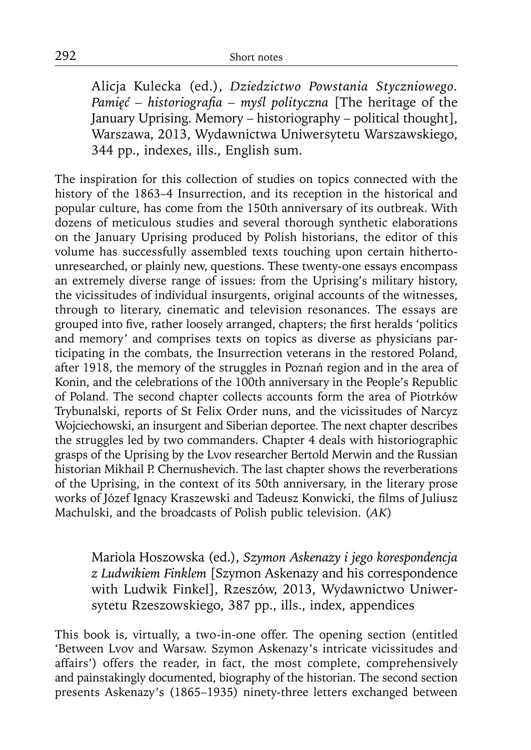Alicja Kulecka (ed.), *Dziedzictwo Powstania Styczniowego. Pamięć* – historiografia – myśl polityczna [The heritage of the January Uprising. Memory – historiography – political thought], Warszawa, 2013, Wydawnictwa Uniwersytetu Warszawskiego, 344 pp., indexes, ills., English sum.

The inspiration for this collection of studies on topics connected with the history of the 1863–4 Insurrection, and its reception in the historical and popular culture, has come from the 150th anniversary of its outbreak. With dozens of meticulous studies and several thorough synthetic elaborations on the January Uprising produced by Polish historians, the editor of this volume has successfully assembled texts touching upon certain hithertounresearched, or plainly new, questions. These twenty-one essays encompass an extremely diverse range of issues: from the Uprising's military history, the vicissitudes of individual insurgents, original accounts of the witnesses, through to literary, cinematic and television resonances. The essays are grouped into five, rather loosely arranged, chapters; the first heralds 'politics and memory' and comprises texts on topics as diverse as physicians participating in the combats, the Insurrection veterans in the restored Poland, after 1918, the memory of the struggles in Poznań region and in the area of Konin, and the celebrations of the 100th anniversary in the People's Republic of Poland. The second chapter collects accounts form the area of Piotrków Trybunalski, reports of St Felix Order nuns, and the vicissitudes of Narcyz Wojciechowski, an insurgent and Siberian deportee. The next chapter describes the struggles led by two commanders. Chapter 4 deals with historiographic grasps of the Uprising by the Lvov researcher Bertold Merwin and the Russian historian Mikhail P. Chernushevich. The last chapter shows the reverberations of the Uprising, in the context of its 50th anniversary, in the literary prose works of Józef Ignacy Kraszewski and Tadeusz Konwicki, the films of Juliusz Machulski, and the broadcasts of Polish public television. (*AK*)

Mariola Hoszowska (ed.), *Szymon Askenazy i jego korespondencja z Ludwikiem Finklem* [Szymon Askenazy and his correspondence with Ludwik Finkel], Rzeszów, 2013, Wydawnictwo Uniwersytetu Rzeszowskiego, 387 pp., ills., index, appendices

This book is, virtually, a two-in-one offer. The opening section (entitled 'Between Lvov and Warsaw. Szymon Askenazy's intricate vicissitudes and affairs') offers the reader, in fact, the most complete, comprehensively and painstakingly documented, biography of the historian. The second section presents Askenazy's (1865–1935) ninety-three letters exchanged between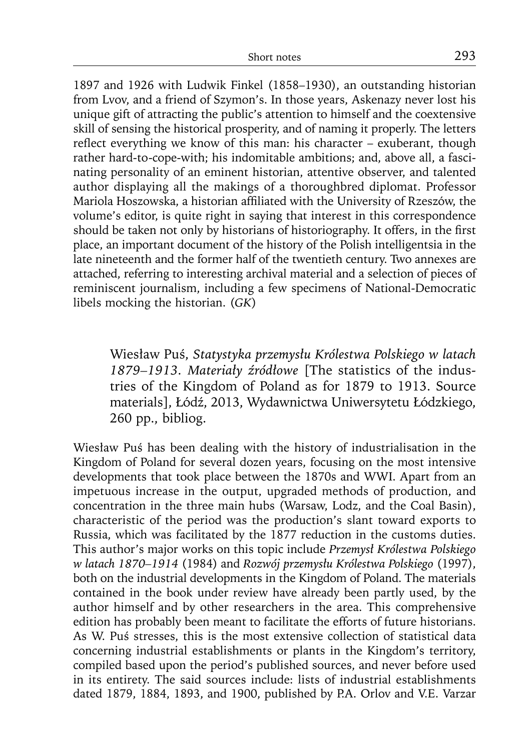1897 and 1926 with Ludwik Finkel (1858–1930), an outstanding historian from Lvov, and a friend of Szymon's. In those years, Askenazy never lost his unique gift of attracting the public's attention to himself and the coextensive skill of sensing the historical prosperity, and of naming it properly. The letters reflect everything we know of this man: his character  $-$  exuberant, though rather hard-to-cope-with; his indomitable ambitions; and, above all, a fascinating personality of an eminent historian, attentive observer, and talented author displaying all the makings of a thoroughbred diplomat. Professor Mariola Hoszowska, a historian affiliated with the University of Rzeszów, the volume's editor, is quite right in saying that interest in this correspondence should be taken not only by historians of historiography. It offers, in the first place, an important document of the history of the Polish intelligentsia in the late nineteenth and the former half of the twentieth century. Two annexes are attached, referring to interesting archival material and a selection of pieces of reminiscent journalism, including a few specimens of National-Democratic libels mocking the historian. (*GK*)

Wiesław Puś, *Statystyka przemysłu Królestwa Polskiego w latach 1879–1913. Materiały źródłowe* [The statistics of the industries of the Kingdom of Poland as for 1879 to 1913. Source materials], Łódź, 2013, Wydawnictwa Uniwersytetu Łódzkiego, 260 pp., bibliog.

Wiesław Puś has been dealing with the history of industrialisation in the Kingdom of Poland for several dozen years, focusing on the most intensive developments that took place between the 1870s and WWI. Apart from an impetuous increase in the output, upgraded methods of production, and concentration in the three main hubs (Warsaw, Lodz, and the Coal Basin), characteristic of the period was the production's slant toward exports to Russia, which was facilitated by the 1877 reduction in the customs duties. This author's major works on this topic include *Przemysł Królestwa Polskiego w latach 1870–1914* (1984) and *Rozwój przemysłu Królestwa Polskiego* (1997), both on the industrial developments in the Kingdom of Poland. The materials contained in the book under review have already been partly used, by the author himself and by other researchers in the area. This comprehensive edition has probably been meant to facilitate the efforts of future historians. As W. Puś stresses, this is the most extensive collection of statistical data concerning industrial establishments or plants in the Kingdom's territory, compiled based upon the period's published sources, and never before used in its entirety. The said sources include: lists of industrial establishments dated 1879, 1884, 1893, and 1900, published by P.A. Orlov and V.E. Varzar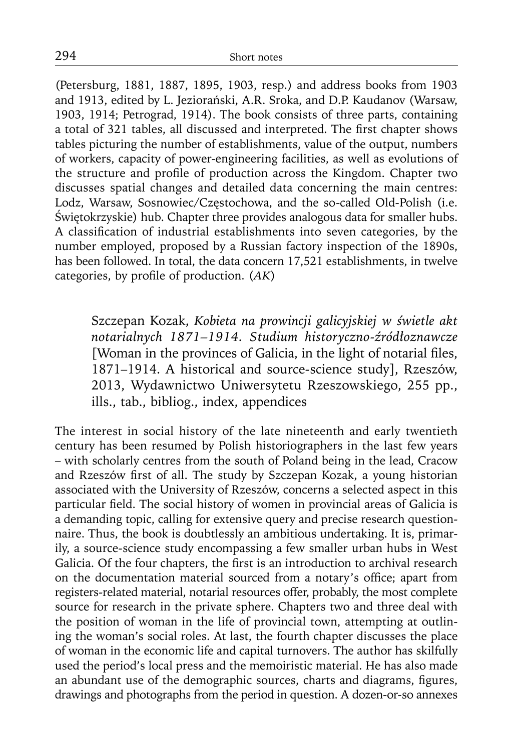(Petersburg, 1881, 1887, 1895, 1903, resp.) and address books from 1903 and 1913, edited by L. Jeziorański, A.R. Sroka, and D.P. Kaudanov (Warsaw, 1903, 1914; Petrograd, 1914). The book consists of three parts, containing a total of 321 tables, all discussed and interpreted. The first chapter shows tables picturing the number of establishments, value of the output, numbers of workers, capacity of power-engineering facilities, as well as evolutions of the structure and profile of production across the Kingdom. Chapter two discusses spatial changes and detailed data concerning the main centres: Lodz, Warsaw, Sosnowiec/Częstochowa, and the so-called Old-Polish (i.e. Świętokrzyskie) hub. Chapter three provides analogous data for smaller hubs. A classification of industrial establishments into seven categories, by the number employed, proposed by a Russian factory inspection of the 1890s, has been followed. In total, the data concern 17,521 establishments, in twelve categories, by profile of production. (AK)

Szczepan Kozak, *Kobieta na prowincji galicyjskiej w świetle akt notarialnych 1871–1914. Studium historyczno-źródłoznawcze* [Woman in the provinces of Galicia, in the light of notarial files, 1871–1914. A historical and source-science study], Rzeszów, 2013, Wydawnictwo Uniwersytetu Rzeszowskiego, 255 pp., ills., tab., bibliog., index, appendices

The interest in social history of the late nineteenth and early twentieth century has been resumed by Polish historiographers in the last few years – with scholarly centres from the south of Poland being in the lead, Cracow and Rzeszów first of all. The study by Szczepan Kozak, a young historian associated with the University of Rzeszów, concerns a selected aspect in this particular field. The social history of women in provincial areas of Galicia is a demanding topic, calling for extensive query and precise research questionnaire. Thus, the book is doubtlessly an ambitious undertaking. It is, primarily, a source-science study encompassing a few smaller urban hubs in West Galicia. Of the four chapters, the first is an introduction to archival research on the documentation material sourced from a notary's office; apart from registers-related material, notarial resources offer, probably, the most complete source for research in the private sphere. Chapters two and three deal with the position of woman in the life of provincial town, attempting at outlining the woman's social roles. At last, the fourth chapter discusses the place of woman in the economic life and capital turnovers. The author has skilfully used the period's local press and the memoiristic material. He has also made an abundant use of the demographic sources, charts and diagrams, figures, drawings and photographs from the period in question. A dozen-or-so annexes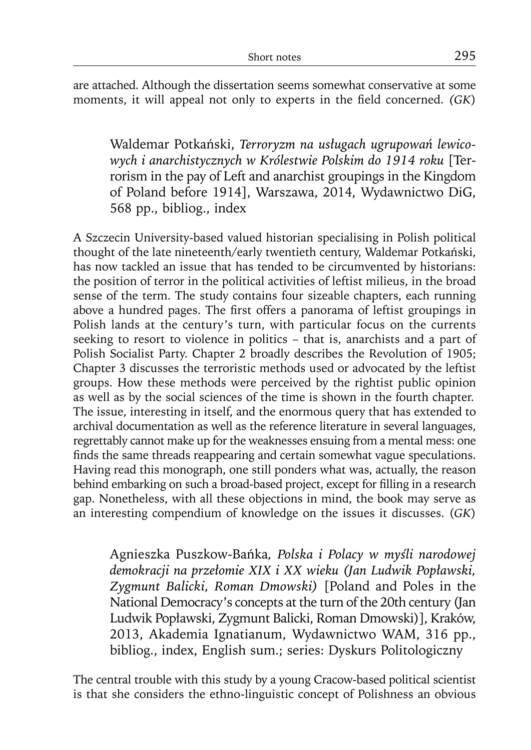are attached. Although the dissertation seems somewhat conservative at some moments, it will appeal not only to experts in the field concerned. *(GK)* 

Waldemar Potkański, *Terroryzm na usługach ugrupowań lewicowych i anarchistycznych w Królestwie Polskim do 1914 roku* [Terrorism in the pay of Left and anarchist groupings in the Kingdom of Poland before 1914], Warszawa, 2014, Wydawnictwo DiG, 568 pp., bibliog., index

A Szczecin University-based valued historian specialising in Polish political thought of the late nineteenth/early twentieth century, Waldemar Potkański, has now tackled an issue that has tended to be circumvented by historians: the position of terror in the political activities of leftist milieus, in the broad sense of the term. The study contains four sizeable chapters, each running above a hundred pages. The first offers a panorama of leftist groupings in Polish lands at the century's turn, with particular focus on the currents seeking to resort to violence in politics – that is, anarchists and a part of Polish Socialist Party. Chapter 2 broadly describes the Revolution of 1905; Chapter 3 discusses the terroristic methods used or advocated by the leftist groups. How these methods were perceived by the rightist public opinion as well as by the social sciences of the time is shown in the fourth chapter. The issue, interesting in itself, and the enormous query that has extended to archival documentation as well as the reference literature in several languages, regrettably cannot make up for the weaknesses ensuing from a mental mess: one finds the same threads reappearing and certain somewhat vague speculations. Having read this monograph, one still ponders what was, actually, the reason behind embarking on such a broad-based project, except for filling in a research gap. Nonetheless, with all these objections in mind, the book may serve as an interesting compendium of knowledge on the issues it discusses. (*GK*)

Agnieszka Puszkow-Bańka*, Polska i Polacy w myśli narodowej demokracji na przełomie XIX i XX wieku (Jan Ludwik Popławski, Zygmunt Balicki, Roman Dmowski)* [Poland and Poles in the National Democracy's concepts at the turn of the 20th century (Jan Ludwik Popławski, Zygmunt Balicki, Roman Dmowski)], Kraków, 2013, Akademia Ignatianum, Wydawnictwo WAM, 316 pp., bibliog., index, English sum.; series: Dyskurs Politologiczny

The central trouble with this study by a young Cracow-based political scientist is that she considers the ethno-linguistic concept of Polishness an obvious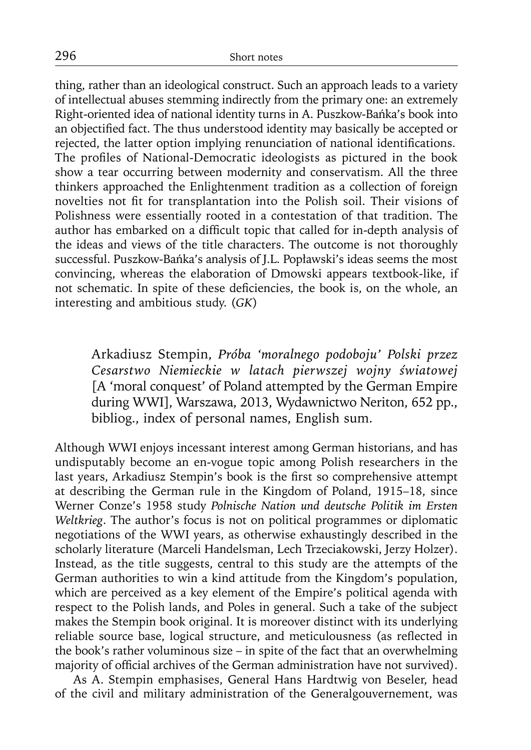thing, rather than an ideological construct. Such an approach leads to a variety of intellectual abuses stemming indirectly from the primary one: an extremely Right-oriented idea of national identity turns in A. Puszkow-Bańka's book into an objectified fact. The thus understood identity may basically be accepted or rejected, the latter option implying renunciation of national identifications. The profiles of National-Democratic ideologists as pictured in the book show a tear occurring between modernity and conservatism. All the three thinkers approached the Enlightenment tradition as a collection of foreign novelties not fit for transplantation into the Polish soil. Their visions of Polishness were essentially rooted in a contestation of that tradition. The author has embarked on a difficult topic that called for in-depth analysis of the ideas and views of the title characters. The outcome is not thoroughly successful. Puszkow-Bańka's analysis of J.L. Popławski's ideas seems the most convincing, whereas the elaboration of Dmowski appears textbook-like, if not schematic. In spite of these deficiencies, the book is, on the whole, an interesting and ambitious study. (*GK*)

Arkadiusz Stempin, *Próba 'moralnego podoboju' Polski przez Cesarstwo Niemieckie w latach pierwszej wojny światowej* [A 'moral conquest' of Poland attempted by the German Empire during WWI], Warszawa, 2013, Wydawnictwo Neriton, 652 pp., bibliog., index of personal names, English sum.

Although WWI enjoys incessant interest among German historians, and has undisputably become an en-vogue topic among Polish researchers in the last years, Arkadiusz Stempin's book is the first so comprehensive attempt at describing the German rule in the Kingdom of Poland, 1915–18, since Werner Conze's 1958 study *Polnische Nation und deutsche Politik im Ersten Weltkrieg*. The author's focus is not on political programmes or diplomatic negotiations of the WWI years, as otherwise exhaustingly described in the scholarly literature (Marceli Handelsman, Lech Trzeciakowski, Jerzy Holzer). Instead, as the title suggests, central to this study are the attempts of the German authorities to win a kind attitude from the Kingdom's population, which are perceived as a key element of the Empire's political agenda with respect to the Polish lands, and Poles in general. Such a take of the subject makes the Stempin book original. It is moreover distinct with its underlying reliable source base, logical structure, and meticulousness (as reflected in the book's rather voluminous size – in spite of the fact that an overwhelming majority of official archives of the German administration have not survived).

As A. Stempin emphasises, General Hans Hardtwig von Beseler, head of the civil and military administration of the Generalgouvernement, was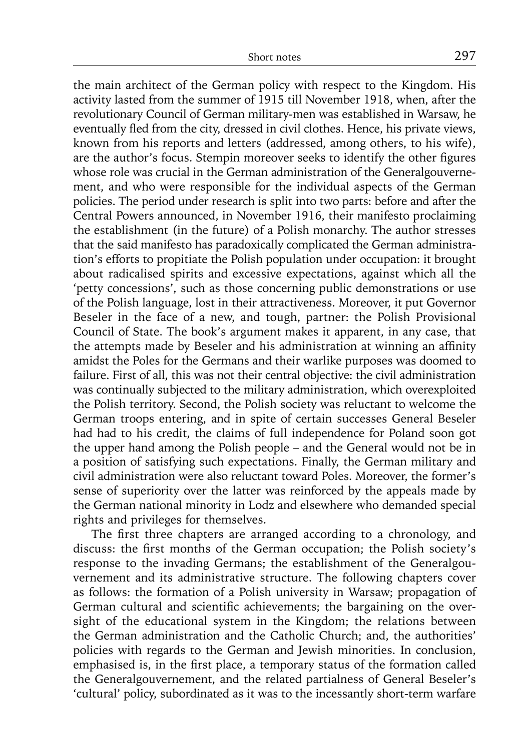the main architect of the German policy with respect to the Kingdom. His activity lasted from the summer of 1915 till November 1918, when, after the revolutionary Council of German military-men was established in Warsaw, he eventually fled from the city, dressed in civil clothes. Hence, his private views, known from his reports and letters (addressed, among others, to his wife), are the author's focus. Stempin moreover seeks to identify the other figures whose role was crucial in the German administration of the Generalgouvernement, and who were responsible for the individual aspects of the German policies. The period under research is split into two parts: before and after the Central Powers announced, in November 1916, their manifesto proclaiming the establishment (in the future) of a Polish monarchy. The author stresses that the said manifesto has paradoxically complicated the German administration's efforts to propitiate the Polish population under occupation: it brought about radicalised spirits and excessive expectations, against which all the 'petty concessions', such as those concerning public demonstrations or use of the Polish language, lost in their attractiveness. Moreover, it put Governor Beseler in the face of a new, and tough, partner: the Polish Provisional Council of State. The book's argument makes it apparent, in any case, that the attempts made by Beseler and his administration at winning an affinity amidst the Poles for the Germans and their warlike purposes was doomed to failure. First of all, this was not their central objective: the civil administration was continually subjected to the military administration, which overexploited the Polish territory. Second, the Polish society was reluctant to welcome the German troops entering, and in spite of certain successes General Beseler had had to his credit, the claims of full independence for Poland soon got the upper hand among the Polish people – and the General would not be in a position of satisfying such expectations. Finally, the German military and civil administration were also reluctant toward Poles. Moreover, the former's sense of superiority over the latter was reinforced by the appeals made by the German national minority in Lodz and elsewhere who demanded special rights and privileges for themselves.

The first three chapters are arranged according to a chronology, and discuss: the first months of the German occupation; the Polish society's response to the invading Germans; the establishment of the Generalgouvernement and its administrative structure. The following chapters cover as follows: the formation of a Polish university in Warsaw; propagation of German cultural and scientific achievements; the bargaining on the oversight of the educational system in the Kingdom; the relations between the German administration and the Catholic Church; and, the authorities' policies with regards to the German and Jewish minorities. In conclusion, emphasised is, in the first place, a temporary status of the formation called the Generalgouvernement, and the related partialness of General Beseler's 'cultural' policy, subordinated as it was to the incessantly short-term warfare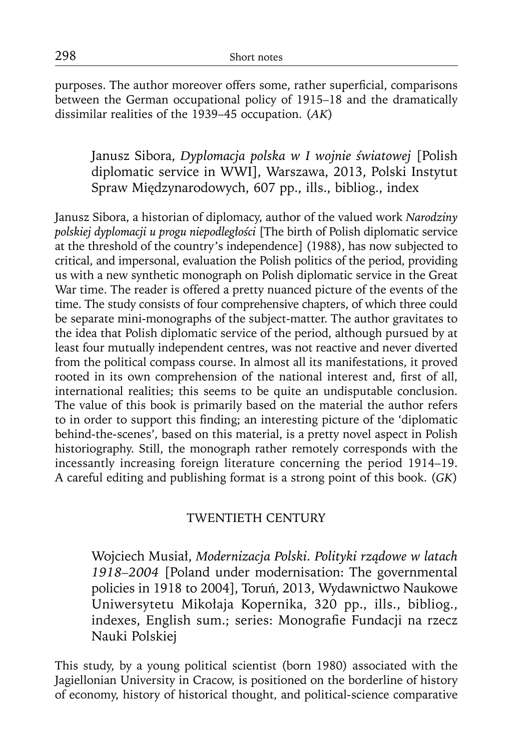purposes. The author moreover offers some, rather superficial, comparisons between the German occupational policy of 1915–18 and the dramatically dissimilar realities of the 1939–45 occupation. (*AK*)

Janusz Sibora, *Dyplomacja polska w I wojnie światowej* [Polish diplomatic service in WWI], Warszawa, 2013, Polski Instytut Spraw Międzynarodowych, 607 pp., ills., bibliog., index

Janusz Sibora, a historian of diplomacy, author of the valued work *Narodziny polskiej dyplomacji u progu niepodległości* [The birth of Polish diplomatic service at the threshold of the country's independence] (1988), has now subjected to critical, and impersonal, evaluation the Polish politics of the period, providing us with a new synthetic monograph on Polish diplomatic service in the Great War time. The reader is offered a pretty nuanced picture of the events of the time. The study consists of four comprehensive chapters, of which three could be separate mini-monographs of the subject-matter. The author gravitates to the idea that Polish diplomatic service of the period, although pursued by at least four mutually independent centres, was not reactive and never diverted from the political compass course. In almost all its manifestations, it proved rooted in its own comprehension of the national interest and, first of all, international realities; this seems to be quite an undisputable conclusion. The value of this book is primarily based on the material the author refers to in order to support this finding; an interesting picture of the 'diplomatic behind-the-scenes', based on this material, is a pretty novel aspect in Polish historiography. Still, the monograph rather remotely corresponds with the incessantly increasing foreign literature concerning the period 1914–19. A careful editing and publishing format is a strong point of this book. (*GK*)

## TWENTIETH CENTURY

Wojciech Musiał, *Modernizacja Polski. Polityki rządowe w latach 1918–2004* [Poland under modernisation: The governmental policies in 1918 to 2004], Toruń, 2013, Wydawnictwo Naukowe Uniwersytetu Mikołaja Kopernika, 320 pp., ills., bibliog., indexes, English sum.; series: Monografie Fundacji na rzecz Nauki Polskiej

This study, by a young political scientist (born 1980) associated with the Jagiellonian University in Cracow, is positioned on the borderline of history of economy, history of historical thought, and political-science comparative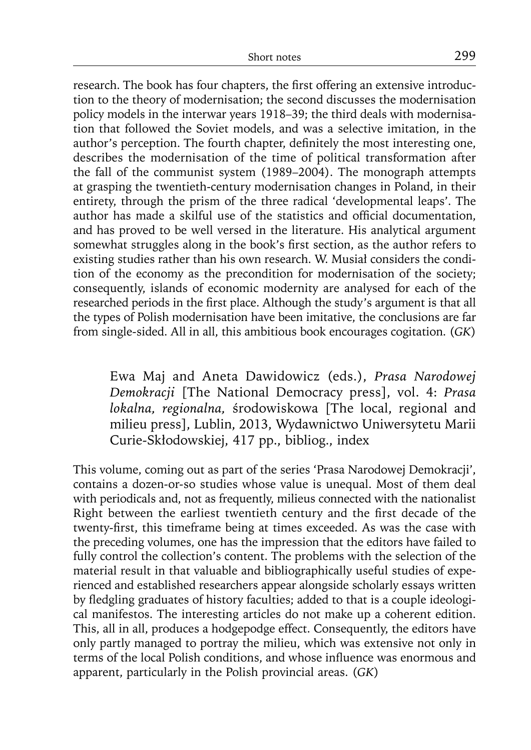research. The book has four chapters, the first offering an extensive introduction to the theory of modernisation; the second discusses the modernisation policy models in the interwar years 1918–39; the third deals with modernisation that followed the Soviet models, and was a selective imitation, in the author's perception. The fourth chapter, definitely the most interesting one, describes the modernisation of the time of political transformation after the fall of the communist system (1989–2004). The monograph attempts at grasping the twentieth-century modernisation changes in Poland, in their entirety, through the prism of the three radical 'developmental leaps'. The author has made a skilful use of the statistics and official documentation, and has proved to be well versed in the literature. His analytical argument somewhat struggles along in the book's first section, as the author refers to existing studies rather than his own research. W. Musiał considers the condition of the economy as the precondition for modernisation of the society; consequently, islands of economic modernity are analysed for each of the researched periods in the first place. Although the study's argument is that all the types of Polish modernisation have been imitative, the conclusions are far from single-sided. All in all, this ambitious book encourages cogitation. (*GK*)

Ewa Maj and Aneta Dawidowicz (eds.), *Prasa Narodowej Demokracji* [The National Democracy press], vol. 4: *Prasa lokalna, regionalna,* środowiskowa [The local, regional and milieu press], Lublin, 2013, Wydawnictwo Uniwersytetu Marii Curie-Skłodowskiej, 417 pp., bibliog., index

This volume, coming out as part of the series 'Prasa Narodowej Demokracji', contains a dozen-or-so studies whose value is unequal. Most of them deal with periodicals and, not as frequently, milieus connected with the nationalist Right between the earliest twentieth century and the first decade of the twenty-first, this timeframe being at times exceeded. As was the case with the preceding volumes, one has the impression that the editors have failed to fully control the collection's content. The problems with the selection of the material result in that valuable and bibliographically useful studies of experienced and established researchers appear alongside scholarly essays written by fledgling graduates of history faculties; added to that is a couple ideological manifestos. The interesting articles do not make up a coherent edition. This, all in all, produces a hodgepodge effect. Consequently, the editors have only partly managed to portray the milieu, which was extensive not only in terms of the local Polish conditions, and whose influence was enormous and apparent, particularly in the Polish provincial areas. (*GK*)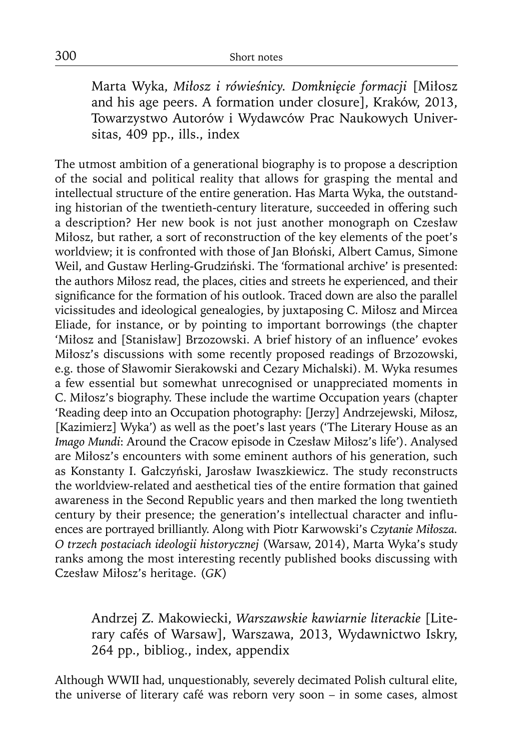Marta Wyka, *Miłosz i rówieśnicy. Domknięcie formacji* [Miłosz and his age peers. A formation under closure], Kraków, 2013, Towarzystwo Autorów i Wydawców Prac Naukowych Universitas, 409 pp., ills., index

The utmost ambition of a generational biography is to propose a description of the social and political reality that allows for grasping the mental and intellectual structure of the entire generation. Has Marta Wyka, the outstanding historian of the twentieth-century literature, succeeded in offering such a description? Her new book is not just another monograph on Czesław Miłosz, but rather, a sort of reconstruction of the key elements of the poet's worldview; it is confronted with those of Jan Błoński, Albert Camus, Simone Weil, and Gustaw Herling-Grudziński. The 'formational archive' is presented: the authors Miłosz read, the places, cities and streets he experienced, and their significance for the formation of his outlook. Traced down are also the parallel vicissitudes and ideological genealogies, by juxtaposing C. Miłosz and Mircea Eliade, for instance, or by pointing to important borrowings (the chapter 'Miłosz and [Stanisław] Brzozowski. A brief history of an influence' evokes Miłosz's discussions with some recently proposed readings of Brzozowski, e.g. those of Sławomir Sierakowski and Cezary Michalski). M. Wyka resumes a few essential but somewhat unrecognised or unappreciated moments in C. Miłosz's biography. These include the wartime Occupation years (chapter 'Reading deep into an Occupation photography: [Jerzy] Andrzejewski, Miłosz, [Kazimierz] Wyka') as well as the poet's last years ('The Literary House as an *Imago Mundi*: Around the Cracow episode in Czesław Miłosz's life'). Analysed are Miłosz's encounters with some eminent authors of his generation, such as Konstanty I. Gałczyński, Jarosław Iwaszkiewicz. The study reconstructs the worldview-related and aesthetical ties of the entire formation that gained awareness in the Second Republic years and then marked the long twentieth century by their presence; the generation's intellectual character and influences are portrayed brilliantly. Along with Piotr Karwowski's *Czytanie Miłosza. O trzech postaciach ideologii historycznej* (Warsaw, 2014), Marta Wyka's study ranks among the most interesting recently published books discussing with Czesław Miłosz's heritage. (*GK*)

Andrzej Z. Makowiecki, *Warszawskie kawiarnie literackie* [Literary cafés of Warsaw], Warszawa, 2013, Wydawnictwo Iskry, 264 pp., bibliog., index, appendix

Although WWII had, unquestionably, severely decimated Polish cultural elite, the universe of literary café was reborn very soon – in some cases, almost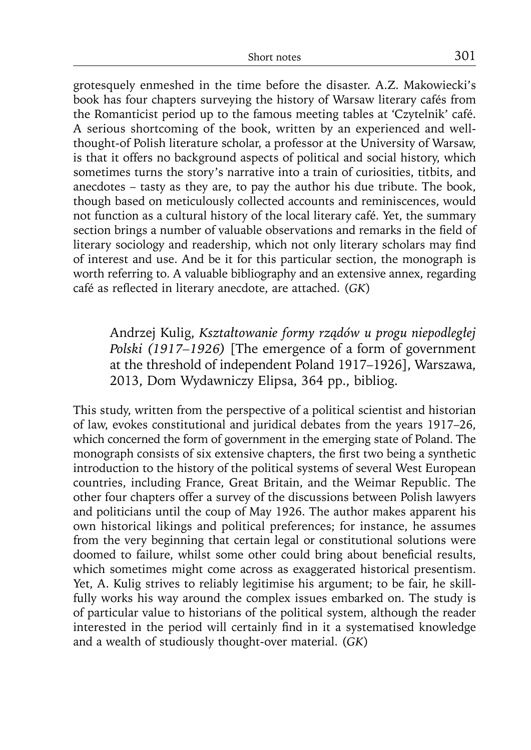grotesquely enmeshed in the time before the disaster. A.Z. Makowiecki's book has four chapters surveying the history of Warsaw literary cafés from the Romanticist period up to the famous meeting tables at 'Czytelnik' café. A serious shortcoming of the book, written by an experienced and wellthought-of Polish literature scholar, a professor at the University of Warsaw, is that it offers no background aspects of political and social history, which sometimes turns the story's narrative into a train of curiosities, titbits, and anecdotes – tasty as they are, to pay the author his due tribute. The book, though based on meticulously collected accounts and reminiscences, would not function as a cultural history of the local literary café. Yet, the summary section brings a number of valuable observations and remarks in the field of literary sociology and readership, which not only literary scholars may find of interest and use. And be it for this particular section, the monograph is worth referring to. A valuable bibliography and an extensive annex, regarding café as reflected in literary anecdote, are attached. (*GK*)

Andrzej Kulig, *Kształtowanie formy rządów u progu niepodległej Polski (1917–1926)* [The emergence of a form of government at the threshold of independent Poland 1917–1926], Warszawa, 2013, Dom Wydawniczy Elipsa, 364 pp., bibliog.

This study, written from the perspective of a political scientist and historian of law, evokes constitutional and juridical debates from the years 1917–26, which concerned the form of government in the emerging state of Poland. The monograph consists of six extensive chapters, the first two being a synthetic introduction to the history of the political systems of several West European countries, including France, Great Britain, and the Weimar Republic. The other four chapters offer a survey of the discussions between Polish lawyers and politicians until the coup of May 1926. The author makes apparent his own historical likings and political preferences; for instance, he assumes from the very beginning that certain legal or constitutional solutions were doomed to failure, whilst some other could bring about beneficial results, which sometimes might come across as exaggerated historical presentism. Yet, A. Kulig strives to reliably legitimise his argument; to be fair, he skillfully works his way around the complex issues embarked on. The study is of particular value to historians of the political system, although the reader interested in the period will certainly find in it a systematised knowledge and a wealth of studiously thought-over material. (*GK*)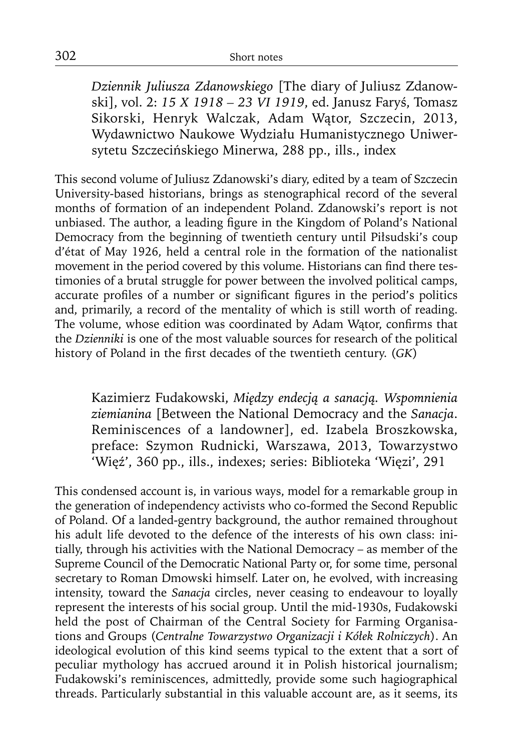*Dziennik Juliusza Zdanowskiego* [The diary of Juliusz Zdanowski], vol. 2: *15 X 1918 – 23 VI 1919*, ed. Janusz Faryś, Tomasz Sikorski, Henryk Walczak, Adam Wątor, Szczecin, 2013, Wydawnictwo Naukowe Wydziału Humanistycznego Uniwersytetu Szczecińskiego Minerwa, 288 pp., ills., index

This second volume of Juliusz Zdanowski's diary, edited by a team of Szczecin University-based historians, brings as stenographical record of the several months of formation of an independent Poland. Zdanowski's report is not unbiased. The author, a leading figure in the Kingdom of Poland's National Democracy from the beginning of twentieth century until Piłsudski's coup d'état of May 1926, held a central role in the formation of the nationalist movement in the period covered by this volume. Historians can find there testimonies of a brutal struggle for power between the involved political camps, accurate profiles of a number or significant figures in the period's politics and, primarily, a record of the mentality of which is still worth of reading. The volume, whose edition was coordinated by Adam Wator, confirms that the *Dzienniki* is one of the most valuable sources for research of the political history of Poland in the first decades of the twentieth century. (*GK*)

Kazimierz Fudakowski, *Między endecją a sanacją. Wspomnienia ziemianina* [Between the National Democracy and the *Sanacja*. Reminiscences of a landowner], ed. Izabela Broszkowska, preface: Szymon Rudnicki, Warszawa, 2013, Towarzystwo 'Więź', 360 pp., ills., indexes; series: Biblioteka 'Więzi', 291

This condensed account is, in various ways, model for a remarkable group in the generation of independency activists who co-formed the Second Republic of Poland. Of a landed-gentry background, the author remained throughout his adult life devoted to the defence of the interests of his own class: initially, through his activities with the National Democracy – as member of the Supreme Council of the Democratic National Party or, for some time, personal secretary to Roman Dmowski himself. Later on, he evolved, with increasing intensity, toward the *Sanacja* circles, never ceasing to endeavour to loyally represent the interests of his social group. Until the mid-1930s, Fudakowski held the post of Chairman of the Central Society for Farming Organisations and Groups (*Centralne Towarzystwo Organizacji i Kółek Rolniczych*). An ideological evolution of this kind seems typical to the extent that a sort of peculiar mythology has accrued around it in Polish historical journalism; Fudakowski's reminiscences, admittedly, provide some such hagiographical threads. Particularly substantial in this valuable account are, as it seems, its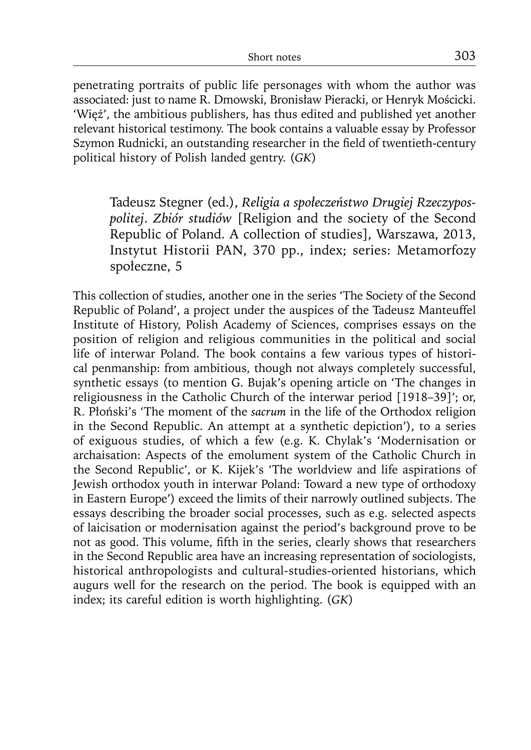penetrating portraits of public life personages with whom the author was associated: just to name R. Dmowski, Bronisław Pieracki, or Henryk Mościcki. 'Więź', the ambitious publishers, has thus edited and published yet another relevant historical testimony. The book contains a valuable essay by Professor Szymon Rudnicki, an outstanding researcher in the field of twentieth-century political history of Polish landed gentry. (*GK*)

Tadeusz Stegner (ed.), *Religia a społeczeństwo Drugiej Rzeczypospolitej*. *Zbiór studiów* [Religion and the society of the Second Republic of Poland. A collection of studies], Warszawa, 2013, Instytut Historii PAN, 370 pp., index; series: Metamorfozy społeczne, 5

This collection of studies, another one in the series 'The Society of the Second Republic of Poland', a project under the auspices of the Tadeusz Manteuffel Institute of History, Polish Academy of Sciences, comprises essays on the position of religion and religious communities in the political and social life of interwar Poland. The book contains a few various types of historical penmanship: from ambitious, though not always completely successful, synthetic essays (to mention G. Bujak's opening article on 'The changes in religiousness in the Catholic Church of the interwar period [1918–39]'; or, R. Płoński's 'The moment of the *sacrum* in the life of the Orthodox religion in the Second Republic. An attempt at a synthetic depiction'), to a series of exiguous studies, of which a few (e.g. K. Chylak's 'Modernisation or archaisation: Aspects of the emolument system of the Catholic Church in the Second Republic', or K. Kijek's 'The worldview and life aspirations of Jewish orthodox youth in interwar Poland: Toward a new type of orthodoxy in Eastern Europe') exceed the limits of their narrowly outlined subjects. The essays describing the broader social processes, such as e.g. selected aspects of laicisation or modernisation against the period's background prove to be not as good. This volume, fifth in the series, clearly shows that researchers in the Second Republic area have an increasing representation of sociologists, historical anthropologists and cultural-studies-oriented historians, which augurs well for the research on the period. The book is equipped with an index; its careful edition is worth highlighting. (*GK*)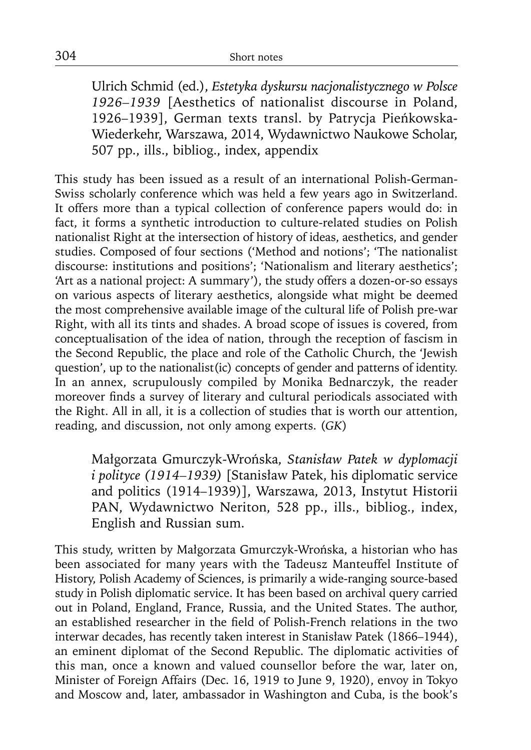Ulrich Schmid (ed.), *Estetyka dyskursu nacjonalistycznego w Polsce 1926–1939* [Aesthetics of nationalist discourse in Poland, 1926–1939], German texts transl. by Patrycja Pieńkowska-Wiederkehr, Warszawa, 2014, Wydawnictwo Naukowe Scholar, 507 pp., ills., bibliog., index, appendix

This study has been issued as a result of an international Polish-German-Swiss scholarly conference which was held a few years ago in Switzerland. It offers more than a typical collection of conference papers would do: in fact, it forms a synthetic introduction to culture-related studies on Polish nationalist Right at the intersection of history of ideas, aesthetics, and gender studies. Composed of four sections ('Method and notions'; 'The nationalist discourse: institutions and positions'; 'Nationalism and literary aesthetics'; 'Art as a national project: A summary'), the study offers a dozen-or-so essays on various aspects of literary aesthetics, alongside what might be deemed the most comprehensive available image of the cultural life of Polish pre-war Right, with all its tints and shades. A broad scope of issues is covered, from conceptualisation of the idea of nation, through the reception of fascism in the Second Republic, the place and role of the Catholic Church, the 'Jewish question', up to the nationalist(ic) concepts of gender and patterns of identity. In an annex, scrupulously compiled by Monika Bednarczyk, the reader moreover finds a survey of literary and cultural periodicals associated with the Right. All in all, it is a collection of studies that is worth our attention, reading, and discussion, not only among experts. (*GK*)

Małgorzata Gmurczyk-Wrońska, *Stanisław Patek w dyplomacji i polityce (1914–1939)* [Stanisław Patek, his diplomatic service and politics (1914–1939)], Warszawa, 2013, Instytut Historii PAN, Wydawnictwo Neriton, 528 pp., ills., bibliog., index, English and Russian sum.

This study, written by Małgorzata Gmurczyk-Wrońska, a historian who has been associated for many years with the Tadeusz Manteuffel Institute of History, Polish Academy of Sciences, is primarily a wide-ranging source-based study in Polish diplomatic service. It has been based on archival query carried out in Poland, England, France, Russia, and the United States. The author, an established researcher in the field of Polish-French relations in the two interwar decades, has recently taken interest in Stanisław Patek (1866–1944), an eminent diplomat of the Second Republic. The diplomatic activities of this man, once a known and valued counsellor before the war, later on, Minister of Foreign Affairs (Dec. 16, 1919 to June 9, 1920), envoy in Tokyo and Moscow and, later, ambassador in Washington and Cuba, is the book's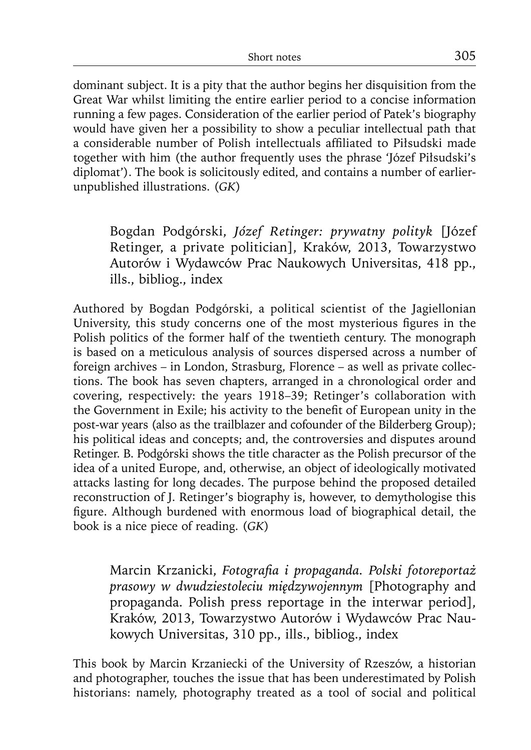dominant subject. It is a pity that the author begins her disquisition from the Great War whilst limiting the entire earlier period to a concise information running a few pages. Consideration of the earlier period of Patek's biography would have given her a possibility to show a peculiar intellectual path that a considerable number of Polish intellectuals affiliated to Piłsudski made together with him (the author frequently uses the phrase 'Józef Piłsudski's diplomat'). The book is solicitously edited, and contains a number of earlierunpublished illustrations. (*GK*)

Bogdan Podgórski, *Józef Retinger: prywatny polityk* [Józef Retinger, a private politician], Kraków, 2013, Towarzystwo Autorów i Wydawców Prac Naukowych Universitas, 418 pp., ills., bibliog., index

Authored by Bogdan Podgórski, a political scientist of the Jagiellonian University, this study concerns one of the most mysterious figures in the Polish politics of the former half of the twentieth century. The monograph is based on a meticulous analysis of sources dispersed across a number of foreign archives – in London, Strasburg, Florence – as well as private collections. The book has seven chapters, arranged in a chronological order and covering, respectively: the years 1918–39; Retinger's collaboration with the Government in Exile; his activity to the benefit of European unity in the post-war years (also as the trailblazer and cofounder of the Bilderberg Group); his political ideas and concepts; and, the controversies and disputes around Retinger. B. Podgórski shows the title character as the Polish precursor of the idea of a united Europe, and, otherwise, an object of ideologically motivated attacks lasting for long decades. The purpose behind the proposed detailed reconstruction of J. Retinger's biography is, however, to demythologise this figure. Although burdened with enormous load of biographical detail, the book is a nice piece of reading. (*GK*)

Marcin Krzanicki, *Fotografi a i propaganda. Polski fotoreportaż prasowy w dwudziestoleciu międzywojennym* [Photography and propaganda. Polish press reportage in the interwar period], Kraków, 2013, Towarzystwo Autorów i Wydawców Prac Naukowych Universitas, 310 pp., ills., bibliog., index

This book by Marcin Krzaniecki of the University of Rzeszów, a historian and photographer, touches the issue that has been underestimated by Polish historians: namely, photography treated as a tool of social and political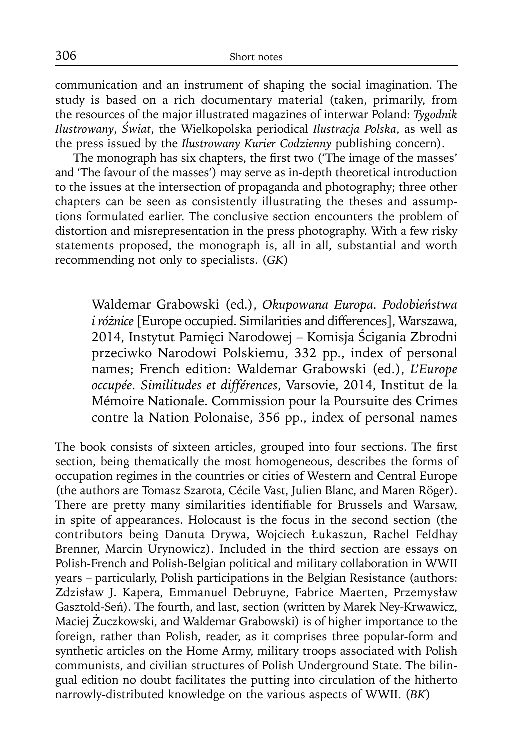communication and an instrument of shaping the social imagination. The study is based on a rich documentary material (taken, primarily, from the resources of the major illustrated magazines of interwar Poland: *Tygodnik Ilustrowany*, *Świat*, the Wielkopolska periodical *Ilustracja Polska*, as well as the press issued by the *Ilustrowany Kurier Codzienny* publishing concern).

The monograph has six chapters, the first two ('The image of the masses' and 'The favour of the masses') may serve as in-depth theoretical introduction to the issues at the intersection of propaganda and photography; three other chapters can be seen as consistently illustrating the theses and assumptions formulated earlier. The conclusive section encounters the problem of distortion and misrepresentation in the press photography. With a few risky statements proposed, the monograph is, all in all, substantial and worth recommending not only to specialists. (*GK*)

Waldemar Grabowski (ed.), *Okupowana Europa. Podobieństwa iróżnice* [Europe occupied. Similarities and differences], Warszawa, 2014, Instytut Pamięci Narodowej – Komisja Ścigania Zbrodni przeciwko Narodowi Polskiemu, 332 pp., index of personal names; French edition: Waldemar Grabowski (ed.), *L'Europe occupée. Similitudes et différences*, Varsovie, 2014, Institut de la Mémoire Nationale. Commission pour la Poursuite des Crimes contre la Nation Polonaise, 356 pp., index of personal names

The book consists of sixteen articles, grouped into four sections. The first section, being thematically the most homogeneous, describes the forms of occupation regimes in the countries or cities of Western and Central Europe (the authors are Tomasz Szarota, Cécile Vast, Julien Blanc, and Maren Röger). There are pretty many similarities identifiable for Brussels and Warsaw, in spite of appearances. Holocaust is the focus in the second section (the contributors being Danuta Drywa, Wojciech Łukaszun, Rachel Feldhay Brenner, Marcin Urynowicz). Included in the third section are essays on Polish-French and Polish-Belgian political and military collaboration in WWII years – particularly, Polish participations in the Belgian Resistance (authors: Zdzisław J. Kapera, Emmanuel Debruyne, Fabrice Maerten, Przemysław Gasztold-Seń). The fourth, and last, section (written by Marek Ney-Krwawicz, Maciej Żuczkowski, and Waldemar Grabowski) is of higher importance to the foreign, rather than Polish, reader, as it comprises three popular-form and synthetic articles on the Home Army, military troops associated with Polish communists, and civilian structures of Polish Underground State. The bilingual edition no doubt facilitates the putting into circulation of the hitherto narrowly-distributed knowledge on the various aspects of WWII. (*BK*)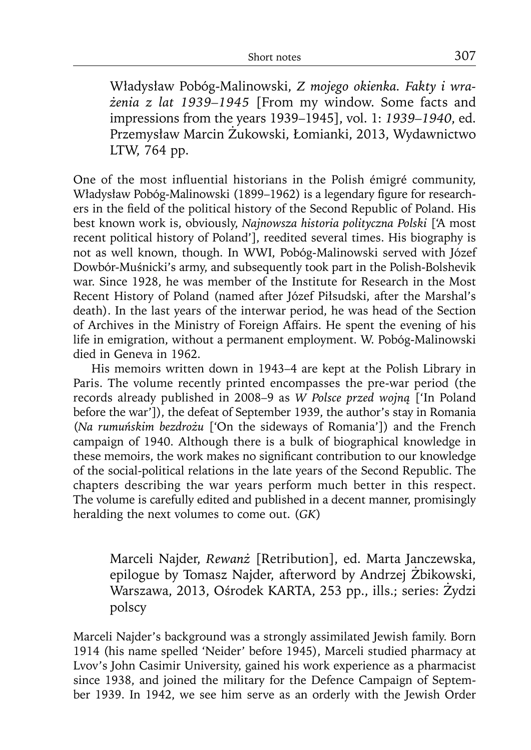Władysław Pobóg-Malinowski, *Z mojego okienka. Fakty i wrażenia z lat 1939–1945* [From my window. Some facts and impre ssions from the years 1939–1945], vol. 1: *1939–1940*, ed. Przemysław Marcin Żukowski, Łomianki, 2013, Wydawnictwo LTW, 764 pp.

One of the most influential historians in the Polish émigré community, Władysław Pobóg-Malinowski (1899–1962) is a legendary figure for researchers in the field of the political history of the Second Republic of Poland. His best known work is, obviously, *Najnowsza historia polityczna Polski* ['A most recent political history of Poland'], reedited several times. His biography is not as well known, though. In WWI, Pobóg-Malinowski served with Józef Dowbór-Muśnicki's army, and subsequently took part in the Polish-Bolshevik war. Since 1928, he was member of the Institute for Research in the Most Recent History of Poland (named after Józef Piłsudski, after the Marshal's death). In the last years of the interwar period, he was head of the Section of Archives in the Ministry of Foreign Affairs. He spent the evening of his life in emigration, without a permanent employment. W. Pobóg-Malinowski died in Geneva in 1962.

His memoirs written down in 1943–4 are kept at the Polish Library in Paris. The volume recently printed encompasses the pre-war period (the records already published in 2008–9 as *W Polsce przed wojną* ['In Poland before the war']), the defeat of September 1939, the author's stay in Romania (*Na rumuńskim bezdrożu* ['On the sideways of Romania']) and the French campaign of 1940. Although there is a bulk of biographical knowledge in these memoirs, the work makes no significant contribution to our knowledge of the social-political relations in the late years of the Second Republic. The chapters describing the war years perform much better in this respect. The volume is carefully edited and published in a decent manner, promisingly heralding the next volumes to come out. (*GK*)

Marceli Najder, *Rewanż* [Retribution], ed. Marta Janczewska, epilogue by Tomasz Najder, afterword by Andrzej Żbikowski, Warszawa, 2013, Ośrodek KARTA, 253 pp., ills.; series: Żydzi polscy

Marceli Najder's background was a strongly assimilated Jewish family. Born 1914 (his name spelled 'Neider' before 1945), Marceli studied pharmacy at Lvov's John Casimir University, gained his work experience as a pharmacist since 1938, and joined the military for the Defence Campaign of September 1939. In 1942, we see him serve as an orderly with the Jewish Order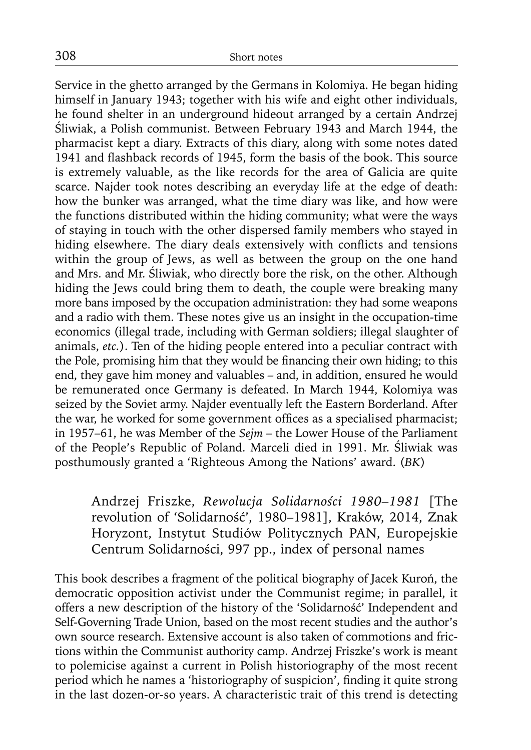Service in the ghetto arranged by the Germans in Kolomiya. He began hiding himself in January 1943; together with his wife and eight other individuals, he found shelter in an underground hideout arranged by a certain Andrzej Śliwiak, a Polish communist. Between February 1943 and March 1944, the pharmacist kept a diary. Extracts of this diary, along with some notes dated 1941 and flashback records of 1945, form the basis of the book. This source is extremely valuable, as the like records for the area of Galicia are quite scarce. Najder took notes describing an everyday life at the edge of death: how the bunker was arranged, what the time diary was like, and how were the functions distributed within the hiding community; what were the ways of staying in touch with the other dispersed family members who stayed in hiding elsewhere. The diary deals extensively with conflicts and tensions within the group of Jews, as well as between the group on the one hand and Mrs. and Mr. Śliwiak, who directly bore the risk, on the other. Although hiding the Jews could bring them to death, the couple were breaking many more bans imposed by the occupation administration: they had some weapons and a radio with them. These notes give us an insight in the occupation-time economics (illegal trade, including with German soldiers; illegal slaughter of animals, *etc.*). Ten of the hiding people entered into a peculiar contract with the Pole, promising him that they would be financing their own hiding; to this end, they gave him money and valuables – and, in addition, ensured he would be remunerated once Germany is defeated. In March 1944, Kolomiya was seized by the Soviet army. Najder eventually left the Eastern Borderland. After the war, he worked for some government offices as a specialised pharmacist; in 1957–61, he was Member of the *Sejm* – the Lower House of the Parliament of the People's Republic of Poland. Marceli died in 1991. Mr. Śliwiak was posthumously granted a 'Righteous Among the Nations' award. (*BK*)

Andrzej Friszke, *Rewolucja Solidarności 1980–1981* [The revolution of 'Solidarność', 1980–1981], Kraków, 2014, Znak Horyzont, Instytut Studiów Politycznych PAN, Europejskie Centrum Solidarności, 997 pp., index of personal names

This book describes a fragment of the political biography of Jacek Kuroń, the democratic opposition activist under the Communist regime; in parallel, it offers a new description of the history of the 'Solidarność' Independent and Self-Governing Trade Union, based on the most recent studies and the author's own source research. Extensive account is also taken of commotions and frictions within the Communist authority camp. Andrzej Friszke's work is meant to polemicise against a current in Polish historiography of the most recent period which he names a 'historiography of suspicion', finding it quite strong in the last dozen-or-so years. A characteristic trait of this trend is detecting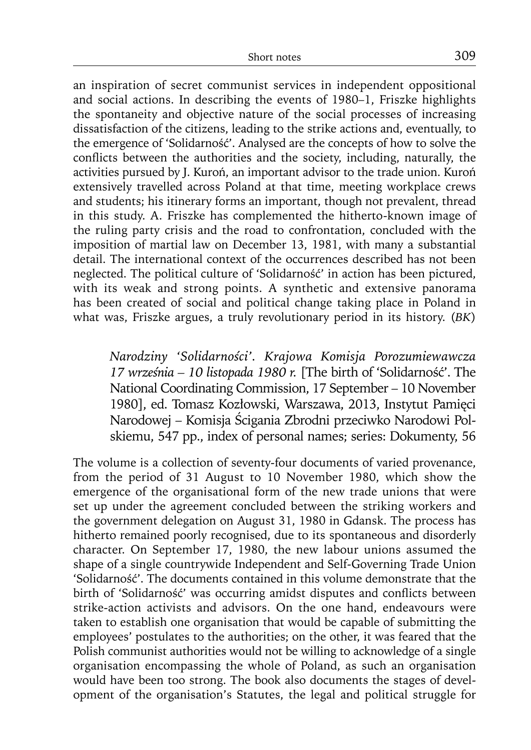an inspiration of secret communist services in independent oppositional and social actions. In describing the events of 1980–1, Friszke highlights the spontaneity and objective nature of the social processes of increasing dissatisfaction of the citizens, leading to the strike actions and, eventually, to the emergence of 'Solidarność'. Analysed are the concepts of how to solve the conflicts between the authorities and the society, including, naturally, the activities pursued by J. Kuroń, an important advisor to the trade union. Kuroń extensively travelled across Poland at that time, meeting workplace crews and students; his itinerary forms an important, though not prevalent, thread in this study. A. Friszke has complemented the hitherto-known image of the ruling party crisis and the road to confrontation, concluded with the imposition of martial law on December 13, 1981, with many a substantial detail. The international context of the occurrences described has not been neglected. The political culture of 'Solidarność' in action has been pictured, with its weak and strong points. A synthetic and extensive panorama has been created of social and political change taking place in Poland in what was, Friszke argues, a truly revolutionary period in its history. (*BK*)

*Narodziny 'Solidarności'. Krajowa Komisja Porozumiewawcza 17 września – 10 listopada 1980 r.* [The birth of 'Solidarność'. The National Coordinating Commission, 17 September – 10 November 1980], ed. Tomasz Kozłowski, Warszawa, 2013, Instytut Pamięci Narodowej – Komisja Ścigania Zbrodni przeciwko Narodowi Polskiemu, 547 pp., index of personal names; series: Dokumenty, 56

The volume is a collection of seventy-four documents of varied provenance, from the period of 31 August to 10 November 1980, which show the emergence of the organisational form of the new trade unions that were set up under the agreement concluded between the striking workers and the government delegation on August 31, 1980 in Gdansk. The process has hitherto remained poorly recognised, due to its spontaneous and disorderly character. On September 17, 1980, the new labour unions assumed the shape of a single countrywide Independent and Self-Governing Trade Union 'Solidarność'. The documents contained in this volume demonstrate that the birth of 'Solidarność' was occurring amidst disputes and conflicts between strike-action activists and advisors. On the one hand, endeavours were taken to establish one organisation that would be capable of submitting the employees' postulates to the authorities; on the other, it was feared that the Polish communist authorities would not be willing to acknowledge of a single organisation encompassing the whole of Poland, as such an organisation would have been too strong. The book also documents the stages of development of the organisation's Statutes, the legal and political struggle for